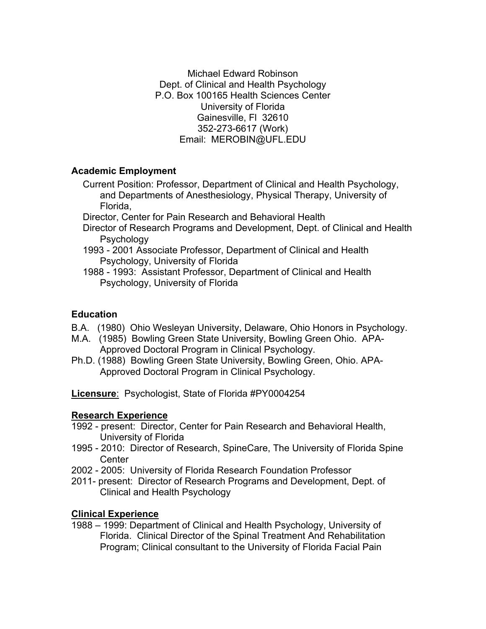Michael Edward Robinson Dept. of Clinical and Health Psychology P.O. Box 100165 Health Sciences Center University of Florida Gainesville, Fl 32610 352-273-6617 (Work) Email: MEROBIN@UFL.EDU

# **Academic Employment**

- Current Position: Professor, Department of Clinical and Health Psychology, and Departments of Anesthesiology, Physical Therapy, University of Florida,
- Director, Center for Pain Research and Behavioral Health
- Director of Research Programs and Development, Dept. of Clinical and Health **Psychology**
- 1993 2001 Associate Professor, Department of Clinical and Health Psychology, University of Florida
- 1988 1993: Assistant Professor, Department of Clinical and Health Psychology, University of Florida

### **Education**

- B.A. (1980) Ohio Wesleyan University, Delaware, Ohio Honors in Psychology.
- M.A. (1985) Bowling Green State University, Bowling Green Ohio. APA-Approved Doctoral Program in Clinical Psychology.
- Ph.D. (1988) Bowling Green State University, Bowling Green, Ohio. APA-Approved Doctoral Program in Clinical Psychology.

**Licensure**: Psychologist, State of Florida #PY0004254

### **Research Experience**

- 1992 present: Director, Center for Pain Research and Behavioral Health, University of Florida
- 1995 2010: Director of Research, SpineCare, The University of Florida Spine **Center**
- 2002 2005: University of Florida Research Foundation Professor
- 2011- present: Director of Research Programs and Development, Dept. of Clinical and Health Psychology

### **Clinical Experience**

1988 – 1999: Department of Clinical and Health Psychology, University of Florida. Clinical Director of the Spinal Treatment And Rehabilitation Program; Clinical consultant to the University of Florida Facial Pain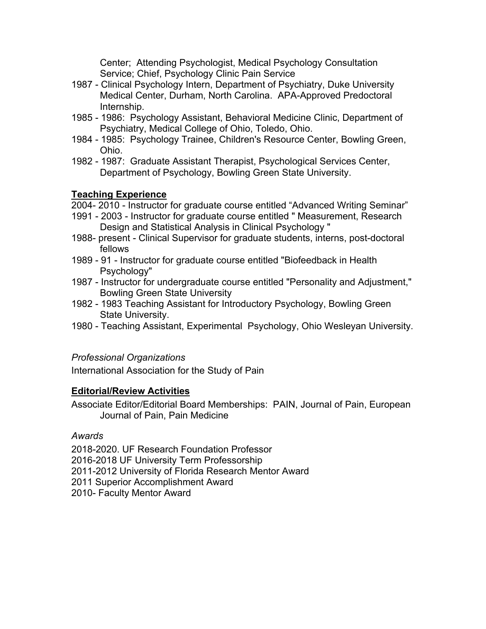Center; Attending Psychologist, Medical Psychology Consultation Service; Chief, Psychology Clinic Pain Service

- 1987 Clinical Psychology Intern, Department of Psychiatry, Duke University Medical Center, Durham, North Carolina. APA-Approved Predoctoral Internship.
- 1985 1986: Psychology Assistant, Behavioral Medicine Clinic, Department of Psychiatry, Medical College of Ohio, Toledo, Ohio.
- 1984 1985: Psychology Trainee, Children's Resource Center, Bowling Green, Ohio.
- 1982 1987: Graduate Assistant Therapist, Psychological Services Center, Department of Psychology, Bowling Green State University.

# **Teaching Experience**

2004- 2010 - Instructor for graduate course entitled "Advanced Writing Seminar"

- 1991 2003 Instructor for graduate course entitled " Measurement, Research Design and Statistical Analysis in Clinical Psychology "
- 1988- present Clinical Supervisor for graduate students, interns, post-doctoral fellows
- 1989 91 Instructor for graduate course entitled "Biofeedback in Health Psychology"
- 1987 Instructor for undergraduate course entitled "Personality and Adjustment," Bowling Green State University
- 1982 1983 Teaching Assistant for Introductory Psychology, Bowling Green State University.
- 1980 Teaching Assistant, Experimental Psychology, Ohio Wesleyan University.

# *Professional Organizations*

International Association for the Study of Pain

### **Editorial/Review Activities**

Associate Editor/Editorial Board Memberships: PAIN, Journal of Pain, European Journal of Pain, Pain Medicine

### *Awards*

2018-2020. UF Research Foundation Professor 2016-2018 UF University Term Professorship 2011-2012 University of Florida Research Mentor Award 2011 Superior Accomplishment Award 2010- Faculty Mentor Award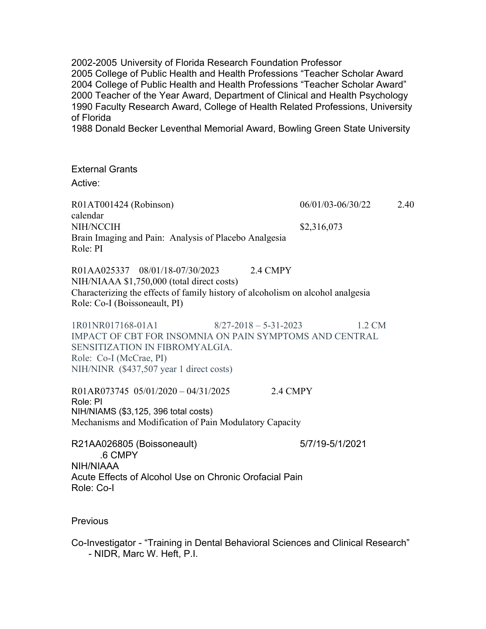2002-2005 University of Florida Research Foundation Professor 2005 College of Public Health and Health Professions "Teacher Scholar Award 2004 College of Public Health and Health Professions "Teacher Scholar Award" 2000 Teacher of the Year Award, Department of Clinical and Health Psychology 1990 Faculty Research Award, College of Health Related Professions, University of Florida

1988 Donald Becker Leventhal Memorial Award, Bowling Green State University

External Grants Active:

R01AT001424 (Robinson) 06/01/03-06/30/22 2.40 calendar NIH/NCCIH \$2,316,073 Brain Imaging and Pain: Analysis of Placebo Analgesia Role: PI

R01AA025337 08/01/18-07/30/2023 2.4 CMPY NIH/NIAAA \$1,750,000 (total direct costs) Characterizing the effects of family history of alcoholism on alcohol analgesia Role: Co-I (Boissoneault, PI)

1R01NR017168-01A1 8/27-2018 – 5-31-2023 1.2 CM IMPACT OF CBT FOR INSOMNIA ON PAIN SYMPTOMS AND CENTRAL SENSITIZATION IN FIBROMYALGIA. Role: Co-I (McCrae, PI) NIH/NINR (\$437,507 year 1 direct costs)

R01AR073745 05/01/2020 – 04/31/2025 2.4 CMPY Role: PI NIH/NIAMS (\$3,125, 396 total costs) Mechanisms and Modification of Pain Modulatory Capacity

R21AA026805 (Boissoneault) 5/7/19-5/1/2021 .6 CMPY NIH/NIAAA Acute Effects of Alcohol Use on Chronic Orofacial Pain Role: Co-I

**Previous** 

Co-Investigator - "Training in Dental Behavioral Sciences and Clinical Research" - NIDR, Marc W. Heft, P.I.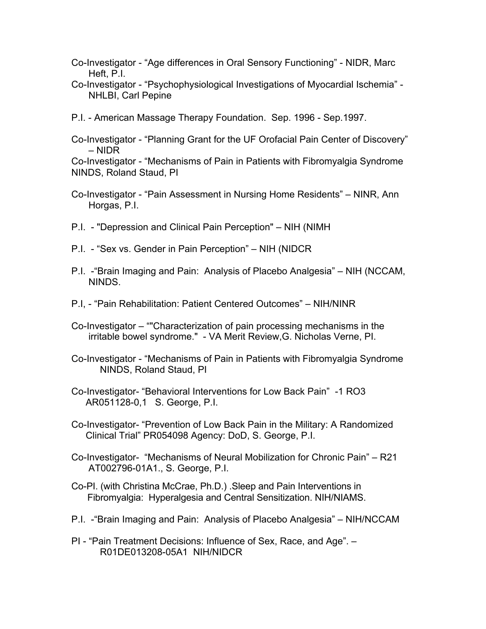- Co-Investigator "Age differences in Oral Sensory Functioning" NIDR, Marc Heft, P.I.
- Co-Investigator "Psychophysiological Investigations of Myocardial Ischemia" NHLBI, Carl Pepine
- P.I. American Massage Therapy Foundation. Sep. 1996 Sep.1997.
- Co-Investigator "Planning Grant for the UF Orofacial Pain Center of Discovery" – NIDR

Co-Investigator - "Mechanisms of Pain in Patients with Fibromyalgia Syndrome NINDS, Roland Staud, PI

- Co-Investigator "Pain Assessment in Nursing Home Residents" NINR, Ann Horgas, P.I.
- P.I. "Depression and Clinical Pain Perception" NIH (NIMH
- P.I. "Sex vs. Gender in Pain Perception" NIH (NIDCR
- P.I. -"Brain Imaging and Pain: Analysis of Placebo Analgesia" NIH (NCCAM, NINDS.
- P.I, "Pain Rehabilitation: Patient Centered Outcomes" NIH/NINR
- Co-Investigator ""Characterization of pain processing mechanisms in the irritable bowel syndrome." - VA Merit Review,G. Nicholas Verne, PI.
- Co-Investigator "Mechanisms of Pain in Patients with Fibromyalgia Syndrome NINDS, Roland Staud, PI
- Co-Investigator- "Behavioral Interventions for Low Back Pain" -1 RO3 AR051128-0,1 S. George, P.I.
- Co-Investigator- "Prevention of Low Back Pain in the Military: A Randomized Clinical Trial" PR054098 Agency: DoD, S. George, P.I.
- Co-Investigator- "Mechanisms of Neural Mobilization for Chronic Pain" R21 AT002796-01A1., S. George, P.I.
- Co-PI. (with Christina McCrae, Ph.D.) .Sleep and Pain Interventions in Fibromyalgia: Hyperalgesia and Central Sensitization. NIH/NIAMS.
- P.I. -"Brain Imaging and Pain: Analysis of Placebo Analgesia" NIH/NCCAM
- PI "Pain Treatment Decisions: Influence of Sex, Race, and Age". R01DE013208-05A1 NIH/NIDCR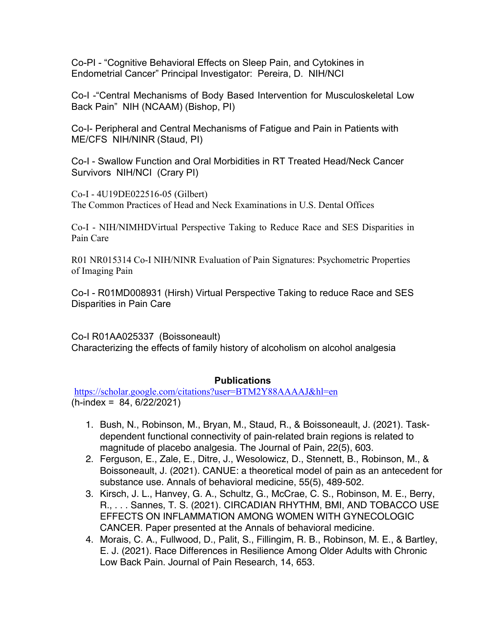Co-PI - "Cognitive Behavioral Effects on Sleep Pain, and Cytokines in Endometrial Cancer" Principal Investigator: Pereira, D. NIH/NCI

Co-I -"Central Mechanisms of Body Based Intervention for Musculoskeletal Low Back Pain" NIH (NCAAM) (Bishop, PI)

Co-I- Peripheral and Central Mechanisms of Fatigue and Pain in Patients with ME/CFS NIH/NINR (Staud, PI)

Co-I - Swallow Function and Oral Morbidities in RT Treated Head/Neck Cancer Survivors NIH/NCI (Crary PI)

Co-I - 4U19DE022516-05 (Gilbert) The Common Practices of Head and Neck Examinations in U.S. Dental Offices

Co-I - NIH/NIMHDVirtual Perspective Taking to Reduce Race and SES Disparities in Pain Care

R01 NR015314 Co-I NIH/NINR Evaluation of Pain Signatures: Psychometric Properties of Imaging Pain

Co-I - R01MD008931 (Hirsh) Virtual Perspective Taking to reduce Race and SES Disparities in Pain Care

Co-I R01AA025337 (Boissoneault) Characterizing the effects of family history of alcoholism on alcohol analgesia

### **Publications**

https://scholar.google.com/citations?user=BTM2Y88AAAAJ&hl=en  $(h$ -index = 84, 6/22/2021)

- 1. Bush, N., Robinson, M., Bryan, M., Staud, R., & Boissoneault, J. (2021). Taskdependent functional connectivity of pain-related brain regions is related to magnitude of placebo analgesia. The Journal of Pain, 22(5), 603.
- 2. Ferguson, E., Zale, E., Ditre, J., Wesolowicz, D., Stennett, B., Robinson, M., & Boissoneault, J. (2021). CANUE: a theoretical model of pain as an antecedent for substance use. Annals of behavioral medicine, 55(5), 489-502.
- 3. Kirsch, J. L., Hanvey, G. A., Schultz, G., McCrae, C. S., Robinson, M. E., Berry, R., . . . Sannes, T. S. (2021). CIRCADIAN RHYTHM, BMI, AND TOBACCO USE EFFECTS ON INFLAMMATION AMONG WOMEN WITH GYNECOLOGIC CANCER. Paper presented at the Annals of behavioral medicine.
- 4. Morais, C. A., Fullwood, D., Palit, S., Fillingim, R. B., Robinson, M. E., & Bartley, E. J. (2021). Race Differences in Resilience Among Older Adults with Chronic Low Back Pain. Journal of Pain Research, 14, 653.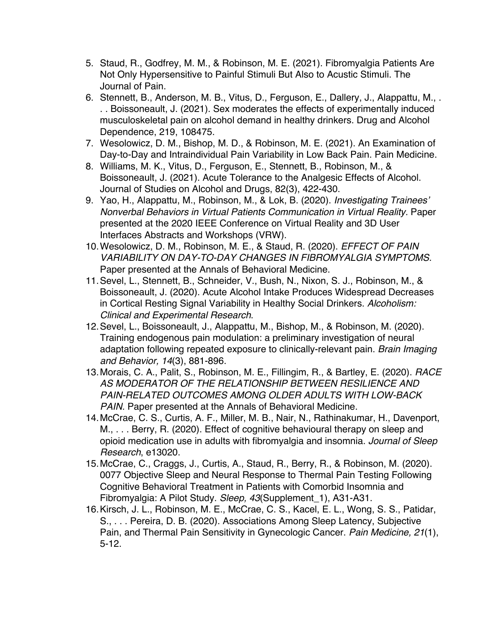- 5. Staud, R., Godfrey, M. M., & Robinson, M. E. (2021). Fibromyalgia Patients Are Not Only Hypersensitive to Painful Stimuli But Also to Acustic Stimuli. The Journal of Pain.
- 6. Stennett, B., Anderson, M. B., Vitus, D., Ferguson, E., Dallery, J., Alappattu, M., . . . Boissoneault, J. (2021). Sex moderates the effects of experimentally induced musculoskeletal pain on alcohol demand in healthy drinkers. Drug and Alcohol Dependence, 219, 108475.
- 7. Wesolowicz, D. M., Bishop, M. D., & Robinson, M. E. (2021). An Examination of Day-to-Day and Intraindividual Pain Variability in Low Back Pain. Pain Medicine.
- 8. Williams, M. K., Vitus, D., Ferguson, E., Stennett, B., Robinson, M., & Boissoneault, J. (2021). Acute Tolerance to the Analgesic Effects of Alcohol. Journal of Studies on Alcohol and Drugs, 82(3), 422-430.
- 9. Yao, H., Alappattu, M., Robinson, M., & Lok, B. (2020). *Investigating Trainees' Nonverbal Behaviors in Virtual Patients Communication in Virtual Reality.* Paper presented at the 2020 IEEE Conference on Virtual Reality and 3D User Interfaces Abstracts and Workshops (VRW).
- 10.Wesolowicz, D. M., Robinson, M. E., & Staud, R. (2020). *EFFECT OF PAIN VARIABILITY ON DAY-TO-DAY CHANGES IN FIBROMYALGIA SYMPTOMS.* Paper presented at the Annals of Behavioral Medicine.
- 11.Sevel, L., Stennett, B., Schneider, V., Bush, N., Nixon, S. J., Robinson, M., & Boissoneault, J. (2020). Acute Alcohol Intake Produces Widespread Decreases in Cortical Resting Signal Variability in Healthy Social Drinkers. *Alcoholism: Clinical and Experimental Research*.
- 12.Sevel, L., Boissoneault, J., Alappattu, M., Bishop, M., & Robinson, M. (2020). Training endogenous pain modulation: a preliminary investigation of neural adaptation following repeated exposure to clinically-relevant pain. *Brain Imaging and Behavior, 14*(3), 881-896.
- 13.Morais, C. A., Palit, S., Robinson, M. E., Fillingim, R., & Bartley, E. (2020). *RACE AS MODERATOR OF THE RELATIONSHIP BETWEEN RESILIENCE AND PAIN-RELATED OUTCOMES AMONG OLDER ADULTS WITH LOW-BACK PAIN.* Paper presented at the Annals of Behavioral Medicine.
- 14.McCrae, C. S., Curtis, A. F., Miller, M. B., Nair, N., Rathinakumar, H., Davenport, M., . . . Berry, R. (2020). Effect of cognitive behavioural therapy on sleep and opioid medication use in adults with fibromyalgia and insomnia. *Journal of Sleep Research*, e13020.
- 15.McCrae, C., Craggs, J., Curtis, A., Staud, R., Berry, R., & Robinson, M. (2020). 0077 Objective Sleep and Neural Response to Thermal Pain Testing Following Cognitive Behavioral Treatment in Patients with Comorbid Insomnia and Fibromyalgia: A Pilot Study. *Sleep, 43*(Supplement\_1), A31-A31.
- 16.Kirsch, J. L., Robinson, M. E., McCrae, C. S., Kacel, E. L., Wong, S. S., Patidar, S., . . . Pereira, D. B. (2020). Associations Among Sleep Latency, Subjective Pain, and Thermal Pain Sensitivity in Gynecologic Cancer. *Pain Medicine, 21*(1), 5-12.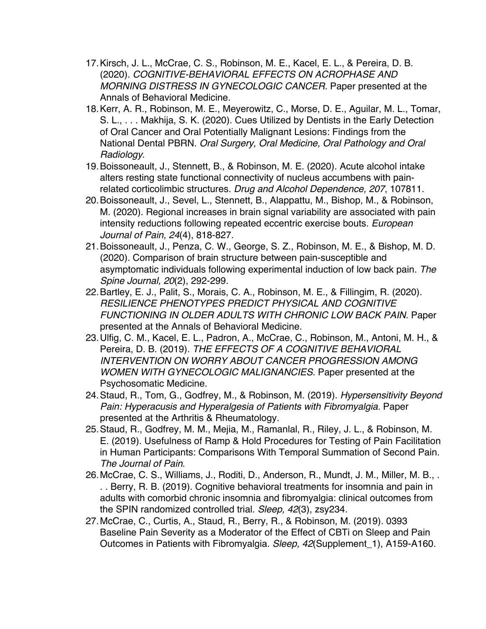- 17.Kirsch, J. L., McCrae, C. S., Robinson, M. E., Kacel, E. L., & Pereira, D. B. (2020). *COGNITIVE-BEHAVIORAL EFFECTS ON ACROPHASE AND MORNING DISTRESS IN GYNECOLOGIC CANCER.* Paper presented at the Annals of Behavioral Medicine.
- 18.Kerr, A. R., Robinson, M. E., Meyerowitz, C., Morse, D. E., Aguilar, M. L., Tomar, S. L., . . . Makhija, S. K. (2020). Cues Utilized by Dentists in the Early Detection of Oral Cancer and Oral Potentially Malignant Lesions: Findings from the National Dental PBRN. *Oral Surgery, Oral Medicine, Oral Pathology and Oral Radiology*.
- 19.Boissoneault, J., Stennett, B., & Robinson, M. E. (2020). Acute alcohol intake alters resting state functional connectivity of nucleus accumbens with painrelated corticolimbic structures. *Drug and Alcohol Dependence, 207*, 107811.
- 20.Boissoneault, J., Sevel, L., Stennett, B., Alappattu, M., Bishop, M., & Robinson, M. (2020). Regional increases in brain signal variability are associated with pain intensity reductions following repeated eccentric exercise bouts. *European Journal of Pain, 24*(4), 818-827.
- 21.Boissoneault, J., Penza, C. W., George, S. Z., Robinson, M. E., & Bishop, M. D. (2020). Comparison of brain structure between pain-susceptible and asymptomatic individuals following experimental induction of low back pain. *The Spine Journal, 20*(2), 292-299.
- 22.Bartley, E. J., Palit, S., Morais, C. A., Robinson, M. E., & Fillingim, R. (2020). *RESILIENCE PHENOTYPES PREDICT PHYSICAL AND COGNITIVE FUNCTIONING IN OLDER ADULTS WITH CHRONIC LOW BACK PAIN.* Paper presented at the Annals of Behavioral Medicine.
- 23.Ulfig, C. M., Kacel, E. L., Padron, A., McCrae, C., Robinson, M., Antoni, M. H., & Pereira, D. B. (2019). *THE EFFECTS OF A COGNITIVE BEHAVIORAL INTERVENTION ON WORRY ABOUT CANCER PROGRESSION AMONG WOMEN WITH GYNECOLOGIC MALIGNANCIES.* Paper presented at the Psychosomatic Medicine.
- 24.Staud, R., Tom, G., Godfrey, M., & Robinson, M. (2019). *Hypersensitivity Beyond Pain: Hyperacusis and Hyperalgesia of Patients with Fibromyalgia.* Paper presented at the Arthritis & Rheumatology.
- 25.Staud, R., Godfrey, M. M., Mejia, M., Ramanlal, R., Riley, J. L., & Robinson, M. E. (2019). Usefulness of Ramp & Hold Procedures for Testing of Pain Facilitation in Human Participants: Comparisons With Temporal Summation of Second Pain. *The Journal of Pain*.
- 26.McCrae, C. S., Williams, J., Roditi, D., Anderson, R., Mundt, J. M., Miller, M. B., . . . Berry, R. B. (2019). Cognitive behavioral treatments for insomnia and pain in adults with comorbid chronic insomnia and fibromyalgia: clinical outcomes from the SPIN randomized controlled trial. *Sleep, 42*(3), zsy234.
- 27.McCrae, C., Curtis, A., Staud, R., Berry, R., & Robinson, M. (2019). 0393 Baseline Pain Severity as a Moderator of the Effect of CBTi on Sleep and Pain Outcomes in Patients with Fibromyalgia. *Sleep, 42*(Supplement\_1), A159-A160.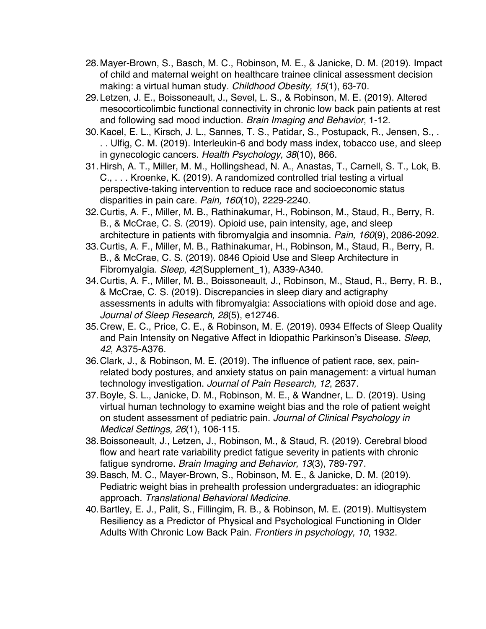- 28.Mayer-Brown, S., Basch, M. C., Robinson, M. E., & Janicke, D. M. (2019). Impact of child and maternal weight on healthcare trainee clinical assessment decision making: a virtual human study. *Childhood Obesity, 15*(1), 63-70.
- 29.Letzen, J. E., Boissoneault, J., Sevel, L. S., & Robinson, M. E. (2019). Altered mesocorticolimbic functional connectivity in chronic low back pain patients at rest and following sad mood induction. *Brain Imaging and Behavior*, 1-12.
- 30.Kacel, E. L., Kirsch, J. L., Sannes, T. S., Patidar, S., Postupack, R., Jensen, S., . . . Ulfig, C. M. (2019). Interleukin-6 and body mass index, tobacco use, and sleep in gynecologic cancers. *Health Psychology, 38*(10), 866.
- 31.Hirsh, A. T., Miller, M. M., Hollingshead, N. A., Anastas, T., Carnell, S. T., Lok, B. C., . . . Kroenke, K. (2019). A randomized controlled trial testing a virtual perspective-taking intervention to reduce race and socioeconomic status disparities in pain care. *Pain, 160*(10), 2229-2240.
- 32.Curtis, A. F., Miller, M. B., Rathinakumar, H., Robinson, M., Staud, R., Berry, R. B., & McCrae, C. S. (2019). Opioid use, pain intensity, age, and sleep architecture in patients with fibromyalgia and insomnia. *Pain, 160*(9), 2086-2092.
- 33.Curtis, A. F., Miller, M. B., Rathinakumar, H., Robinson, M., Staud, R., Berry, R. B., & McCrae, C. S. (2019). 0846 Opioid Use and Sleep Architecture in Fibromyalgia. *Sleep, 42*(Supplement\_1), A339-A340.
- 34.Curtis, A. F., Miller, M. B., Boissoneault, J., Robinson, M., Staud, R., Berry, R. B., & McCrae, C. S. (2019). Discrepancies in sleep diary and actigraphy assessments in adults with fibromyalgia: Associations with opioid dose and age. *Journal of Sleep Research, 28*(5), e12746.
- 35.Crew, E. C., Price, C. E., & Robinson, M. E. (2019). 0934 Effects of Sleep Quality and Pain Intensity on Negative Affect in Idiopathic Parkinson's Disease. *Sleep, 42*, A375-A376.
- 36.Clark, J., & Robinson, M. E. (2019). The influence of patient race, sex, painrelated body postures, and anxiety status on pain management: a virtual human technology investigation. *Journal of Pain Research, 12*, 2637.
- 37.Boyle, S. L., Janicke, D. M., Robinson, M. E., & Wandner, L. D. (2019). Using virtual human technology to examine weight bias and the role of patient weight on student assessment of pediatric pain. *Journal of Clinical Psychology in Medical Settings, 26*(1), 106-115.
- 38.Boissoneault, J., Letzen, J., Robinson, M., & Staud, R. (2019). Cerebral blood flow and heart rate variability predict fatigue severity in patients with chronic fatigue syndrome. *Brain Imaging and Behavior, 13*(3), 789-797.
- 39.Basch, M. C., Mayer-Brown, S., Robinson, M. E., & Janicke, D. M. (2019). Pediatric weight bias in prehealth profession undergraduates: an idiographic approach. *Translational Behavioral Medicine*.
- 40.Bartley, E. J., Palit, S., Fillingim, R. B., & Robinson, M. E. (2019). Multisystem Resiliency as a Predictor of Physical and Psychological Functioning in Older Adults With Chronic Low Back Pain. *Frontiers in psychology, 10*, 1932.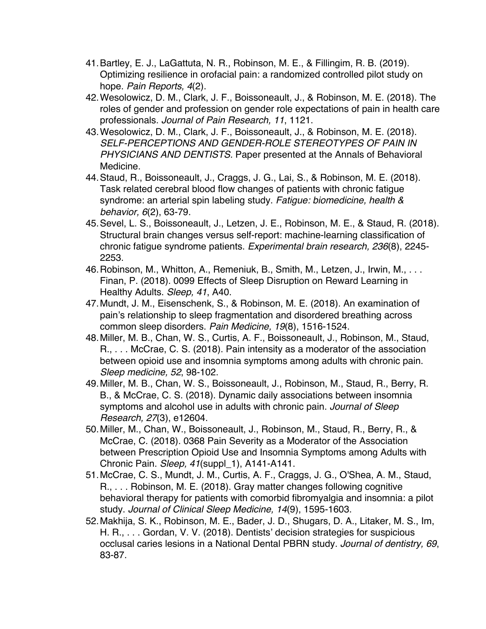- 41.Bartley, E. J., LaGattuta, N. R., Robinson, M. E., & Fillingim, R. B. (2019). Optimizing resilience in orofacial pain: a randomized controlled pilot study on hope. *Pain Reports, 4*(2).
- 42.Wesolowicz, D. M., Clark, J. F., Boissoneault, J., & Robinson, M. E. (2018). The roles of gender and profession on gender role expectations of pain in health care professionals. *Journal of Pain Research, 11*, 1121.
- 43.Wesolowicz, D. M., Clark, J. F., Boissoneault, J., & Robinson, M. E. (2018). *SELF-PERCEPTIONS AND GENDER-ROLE STEREOTYPES OF PAIN IN PHYSICIANS AND DENTISTS.* Paper presented at the Annals of Behavioral Medicine.
- 44.Staud, R., Boissoneault, J., Craggs, J. G., Lai, S., & Robinson, M. E. (2018). Task related cerebral blood flow changes of patients with chronic fatigue syndrome: an arterial spin labeling study. *Fatigue: biomedicine, health & behavior, 6*(2), 63-79.
- 45.Sevel, L. S., Boissoneault, J., Letzen, J. E., Robinson, M. E., & Staud, R. (2018). Structural brain changes versus self-report: machine-learning classification of chronic fatigue syndrome patients. *Experimental brain research, 236*(8), 2245- 2253.
- 46.Robinson, M., Whitton, A., Remeniuk, B., Smith, M., Letzen, J., Irwin, M., . . . Finan, P. (2018). 0099 Effects of Sleep Disruption on Reward Learning in Healthy Adults. *Sleep, 41*, A40.
- 47.Mundt, J. M., Eisenschenk, S., & Robinson, M. E. (2018). An examination of pain's relationship to sleep fragmentation and disordered breathing across common sleep disorders. *Pain Medicine, 19*(8), 1516-1524.
- 48.Miller, M. B., Chan, W. S., Curtis, A. F., Boissoneault, J., Robinson, M., Staud, R., . . . McCrae, C. S. (2018). Pain intensity as a moderator of the association between opioid use and insomnia symptoms among adults with chronic pain. *Sleep medicine, 52*, 98-102.
- 49.Miller, M. B., Chan, W. S., Boissoneault, J., Robinson, M., Staud, R., Berry, R. B., & McCrae, C. S. (2018). Dynamic daily associations between insomnia symptoms and alcohol use in adults with chronic pain. *Journal of Sleep Research, 27*(3), e12604.
- 50.Miller, M., Chan, W., Boissoneault, J., Robinson, M., Staud, R., Berry, R., & McCrae, C. (2018). 0368 Pain Severity as a Moderator of the Association between Prescription Opioid Use and Insomnia Symptoms among Adults with Chronic Pain. *Sleep, 41*(suppl\_1), A141-A141.
- 51.McCrae, C. S., Mundt, J. M., Curtis, A. F., Craggs, J. G., O'Shea, A. M., Staud, R., . . . Robinson, M. E. (2018). Gray matter changes following cognitive behavioral therapy for patients with comorbid fibromyalgia and insomnia: a pilot study. *Journal of Clinical Sleep Medicine, 14*(9), 1595-1603.
- 52.Makhija, S. K., Robinson, M. E., Bader, J. D., Shugars, D. A., Litaker, M. S., Im, H. R., . . . Gordan, V. V. (2018). Dentists' decision strategies for suspicious occlusal caries lesions in a National Dental PBRN study. *Journal of dentistry, 69*, 83-87.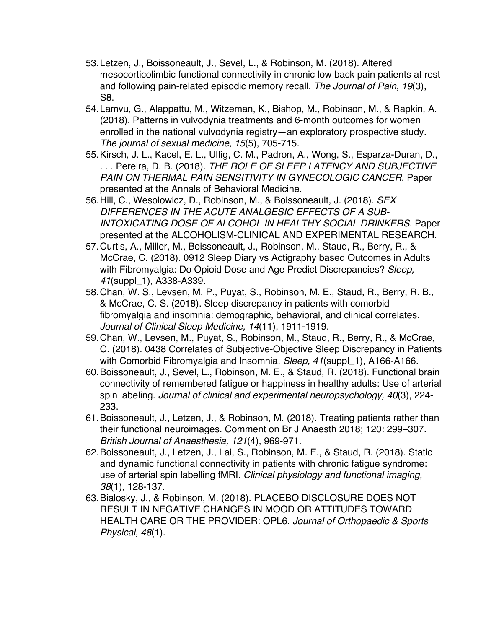- 53.Letzen, J., Boissoneault, J., Sevel, L., & Robinson, M. (2018). Altered mesocorticolimbic functional connectivity in chronic low back pain patients at rest and following pain-related episodic memory recall. *The Journal of Pain, 19*(3), S8.
- 54.Lamvu, G., Alappattu, M., Witzeman, K., Bishop, M., Robinson, M., & Rapkin, A. (2018). Patterns in vulvodynia treatments and 6-month outcomes for women enrolled in the national vulvodynia registry—an exploratory prospective study. *The journal of sexual medicine, 15*(5), 705-715.
- 55.Kirsch, J. L., Kacel, E. L., Ulfig, C. M., Padron, A., Wong, S., Esparza-Duran, D., . . . Pereira, D. B. (2018). *THE ROLE OF SLEEP LATENCY AND SUBJECTIVE PAIN ON THERMAL PAIN SENSITIVITY IN GYNECOLOGIC CANCER.* Paper presented at the Annals of Behavioral Medicine.
- 56.Hill, C., Wesolowicz, D., Robinson, M., & Boissoneault, J. (2018). *SEX DIFFERENCES IN THE ACUTE ANALGESIC EFFECTS OF A SUB-INTOXICATING DOSE OF ALCOHOL IN HEALTHY SOCIAL DRINKERS.* Paper presented at the ALCOHOLISM-CLINICAL AND EXPERIMENTAL RESEARCH.
- 57.Curtis, A., Miller, M., Boissoneault, J., Robinson, M., Staud, R., Berry, R., & McCrae, C. (2018). 0912 Sleep Diary vs Actigraphy based Outcomes in Adults with Fibromyalgia: Do Opioid Dose and Age Predict Discrepancies? *Sleep, 41*(suppl\_1), A338-A339.
- 58.Chan, W. S., Levsen, M. P., Puyat, S., Robinson, M. E., Staud, R., Berry, R. B., & McCrae, C. S. (2018). Sleep discrepancy in patients with comorbid fibromyalgia and insomnia: demographic, behavioral, and clinical correlates. *Journal of Clinical Sleep Medicine, 14*(11), 1911-1919.
- 59.Chan, W., Levsen, M., Puyat, S., Robinson, M., Staud, R., Berry, R., & McCrae, C. (2018). 0438 Correlates of Subjective-Objective Sleep Discrepancy in Patients with Comorbid Fibromyalgia and Insomnia. *Sleep, 41*(suppl\_1), A166-A166.
- 60.Boissoneault, J., Sevel, L., Robinson, M. E., & Staud, R. (2018). Functional brain connectivity of remembered fatigue or happiness in healthy adults: Use of arterial spin labeling. *Journal of clinical and experimental neuropsychology, 40*(3), 224- 233.
- 61.Boissoneault, J., Letzen, J., & Robinson, M. (2018). Treating patients rather than their functional neuroimages. Comment on Br J Anaesth 2018; 120: 299–307. *British Journal of Anaesthesia, 121*(4), 969-971.
- 62.Boissoneault, J., Letzen, J., Lai, S., Robinson, M. E., & Staud, R. (2018). Static and dynamic functional connectivity in patients with chronic fatigue syndrome: use of arterial spin labelling fMRI. *Clinical physiology and functional imaging, 38*(1), 128-137.
- 63.Bialosky, J., & Robinson, M. (2018). PLACEBO DISCLOSURE DOES NOT RESULT IN NEGATIVE CHANGES IN MOOD OR ATTITUDES TOWARD HEALTH CARE OR THE PROVIDER: OPL6. *Journal of Orthopaedic & Sports Physical, 48*(1).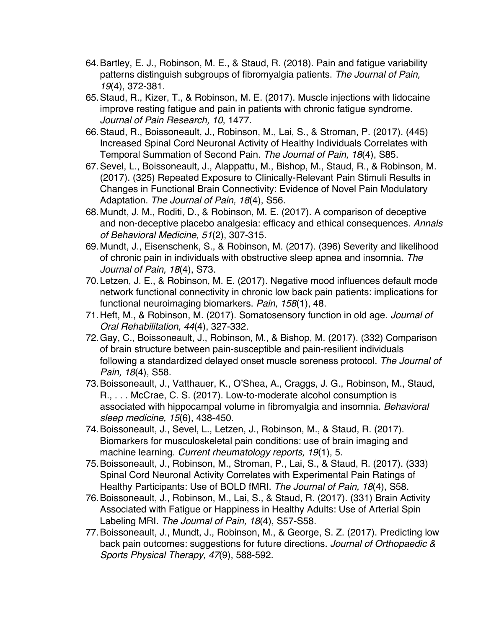- 64.Bartley, E. J., Robinson, M. E., & Staud, R. (2018). Pain and fatigue variability patterns distinguish subgroups of fibromyalgia patients. *The Journal of Pain, 19*(4), 372-381.
- 65.Staud, R., Kizer, T., & Robinson, M. E. (2017). Muscle injections with lidocaine improve resting fatigue and pain in patients with chronic fatigue syndrome. *Journal of Pain Research, 10*, 1477.
- 66.Staud, R., Boissoneault, J., Robinson, M., Lai, S., & Stroman, P. (2017). (445) Increased Spinal Cord Neuronal Activity of Healthy Individuals Correlates with Temporal Summation of Second Pain. *The Journal of Pain, 18*(4), S85.
- 67.Sevel, L., Boissoneault, J., Alappattu, M., Bishop, M., Staud, R., & Robinson, M. (2017). (325) Repeated Exposure to Clinically-Relevant Pain Stimuli Results in Changes in Functional Brain Connectivity: Evidence of Novel Pain Modulatory Adaptation. *The Journal of Pain, 18*(4), S56.
- 68.Mundt, J. M., Roditi, D., & Robinson, M. E. (2017). A comparison of deceptive and non-deceptive placebo analgesia: efficacy and ethical consequences. *Annals of Behavioral Medicine, 51*(2), 307-315.
- 69.Mundt, J., Eisenschenk, S., & Robinson, M. (2017). (396) Severity and likelihood of chronic pain in individuals with obstructive sleep apnea and insomnia. *The Journal of Pain, 18*(4), S73.
- 70.Letzen, J. E., & Robinson, M. E. (2017). Negative mood influences default mode network functional connectivity in chronic low back pain patients: implications for functional neuroimaging biomarkers. *Pain, 158*(1), 48.
- 71.Heft, M., & Robinson, M. (2017). Somatosensory function in old age. *Journal of Oral Rehabilitation, 44*(4), 327-332.
- 72.Gay, C., Boissoneault, J., Robinson, M., & Bishop, M. (2017). (332) Comparison of brain structure between pain-susceptible and pain-resilient individuals following a standardized delayed onset muscle soreness protocol. *The Journal of Pain, 18*(4), S58.
- 73.Boissoneault, J., Vatthauer, K., O'Shea, A., Craggs, J. G., Robinson, M., Staud, R., . . . McCrae, C. S. (2017). Low-to-moderate alcohol consumption is associated with hippocampal volume in fibromyalgia and insomnia. *Behavioral sleep medicine, 15*(6), 438-450.
- 74.Boissoneault, J., Sevel, L., Letzen, J., Robinson, M., & Staud, R. (2017). Biomarkers for musculoskeletal pain conditions: use of brain imaging and machine learning. *Current rheumatology reports, 19*(1), 5.
- 75.Boissoneault, J., Robinson, M., Stroman, P., Lai, S., & Staud, R. (2017). (333) Spinal Cord Neuronal Activity Correlates with Experimental Pain Ratings of Healthy Participants: Use of BOLD fMRI. *The Journal of Pain, 18*(4), S58.
- 76.Boissoneault, J., Robinson, M., Lai, S., & Staud, R. (2017). (331) Brain Activity Associated with Fatigue or Happiness in Healthy Adults: Use of Arterial Spin Labeling MRI. *The Journal of Pain, 18*(4), S57-S58.
- 77.Boissoneault, J., Mundt, J., Robinson, M., & George, S. Z. (2017). Predicting low back pain outcomes: suggestions for future directions. *Journal of Orthopaedic & Sports Physical Therapy, 47*(9), 588-592.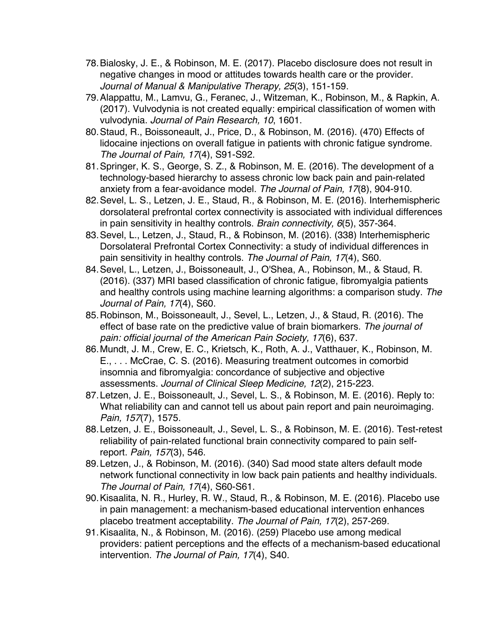- 78.Bialosky, J. E., & Robinson, M. E. (2017). Placebo disclosure does not result in negative changes in mood or attitudes towards health care or the provider. *Journal of Manual & Manipulative Therapy, 25*(3), 151-159.
- 79.Alappattu, M., Lamvu, G., Feranec, J., Witzeman, K., Robinson, M., & Rapkin, A. (2017). Vulvodynia is not created equally: empirical classification of women with vulvodynia. *Journal of Pain Research, 10*, 1601.
- 80.Staud, R., Boissoneault, J., Price, D., & Robinson, M. (2016). (470) Effects of lidocaine injections on overall fatigue in patients with chronic fatigue syndrome. *The Journal of Pain, 17*(4), S91-S92.
- 81.Springer, K. S., George, S. Z., & Robinson, M. E. (2016). The development of a technology-based hierarchy to assess chronic low back pain and pain-related anxiety from a fear-avoidance model. *The Journal of Pain, 17*(8), 904-910.
- 82.Sevel, L. S., Letzen, J. E., Staud, R., & Robinson, M. E. (2016). Interhemispheric dorsolateral prefrontal cortex connectivity is associated with individual differences in pain sensitivity in healthy controls. *Brain connectivity, 6*(5), 357-364.
- 83.Sevel, L., Letzen, J., Staud, R., & Robinson, M. (2016). (338) Interhemispheric Dorsolateral Prefrontal Cortex Connectivity: a study of individual differences in pain sensitivity in healthy controls. *The Journal of Pain, 17*(4), S60.
- 84.Sevel, L., Letzen, J., Boissoneault, J., O'Shea, A., Robinson, M., & Staud, R. (2016). (337) MRI based classification of chronic fatigue, fibromyalgia patients and healthy controls using machine learning algorithms: a comparison study. *The Journal of Pain, 17*(4), S60.
- 85.Robinson, M., Boissoneault, J., Sevel, L., Letzen, J., & Staud, R. (2016). The effect of base rate on the predictive value of brain biomarkers. *The journal of pain: official journal of the American Pain Society, 17*(6), 637.
- 86.Mundt, J. M., Crew, E. C., Krietsch, K., Roth, A. J., Vatthauer, K., Robinson, M. E., . . . McCrae, C. S. (2016). Measuring treatment outcomes in comorbid insomnia and fibromyalgia: concordance of subjective and objective assessments. *Journal of Clinical Sleep Medicine, 12*(2), 215-223.
- 87.Letzen, J. E., Boissoneault, J., Sevel, L. S., & Robinson, M. E. (2016). Reply to: What reliability can and cannot tell us about pain report and pain neuroimaging. *Pain, 157*(7), 1575.
- 88.Letzen, J. E., Boissoneault, J., Sevel, L. S., & Robinson, M. E. (2016). Test-retest reliability of pain-related functional brain connectivity compared to pain selfreport. *Pain, 157*(3), 546.
- 89.Letzen, J., & Robinson, M. (2016). (340) Sad mood state alters default mode network functional connectivity in low back pain patients and healthy individuals. *The Journal of Pain, 17*(4), S60-S61.
- 90.Kisaalita, N. R., Hurley, R. W., Staud, R., & Robinson, M. E. (2016). Placebo use in pain management: a mechanism-based educational intervention enhances placebo treatment acceptability. *The Journal of Pain, 17*(2), 257-269.
- 91.Kisaalita, N., & Robinson, M. (2016). (259) Placebo use among medical providers: patient perceptions and the effects of a mechanism-based educational intervention. *The Journal of Pain, 17*(4), S40.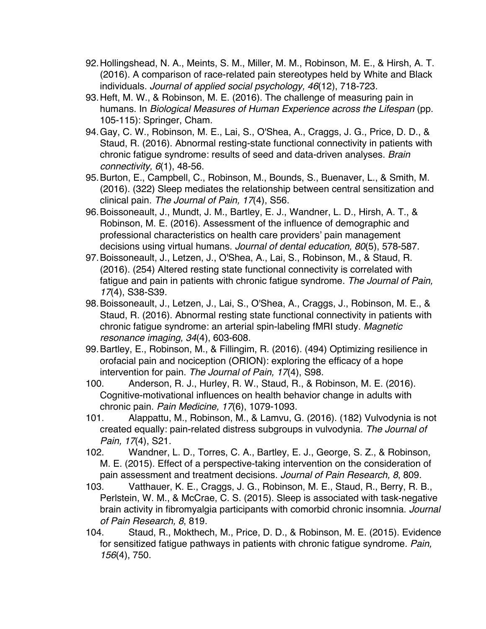- 92.Hollingshead, N. A., Meints, S. M., Miller, M. M., Robinson, M. E., & Hirsh, A. T. (2016). A comparison of race‐related pain stereotypes held by White and Black individuals. *Journal of applied social psychology, 46*(12), 718-723.
- 93.Heft, M. W., & Robinson, M. E. (2016). The challenge of measuring pain in humans. In *Biological Measures of Human Experience across the Lifespan* (pp. 105-115): Springer, Cham.
- 94.Gay, C. W., Robinson, M. E., Lai, S., O'Shea, A., Craggs, J. G., Price, D. D., & Staud, R. (2016). Abnormal resting-state functional connectivity in patients with chronic fatigue syndrome: results of seed and data-driven analyses. *Brain connectivity, 6*(1), 48-56.
- 95.Burton, E., Campbell, C., Robinson, M., Bounds, S., Buenaver, L., & Smith, M. (2016). (322) Sleep mediates the relationship between central sensitization and clinical pain. *The Journal of Pain, 17*(4), S56.
- 96.Boissoneault, J., Mundt, J. M., Bartley, E. J., Wandner, L. D., Hirsh, A. T., & Robinson, M. E. (2016). Assessment of the influence of demographic and professional characteristics on health care providers' pain management decisions using virtual humans. *Journal of dental education, 80*(5), 578-587.
- 97.Boissoneault, J., Letzen, J., O'Shea, A., Lai, S., Robinson, M., & Staud, R. (2016). (254) Altered resting state functional connectivity is correlated with fatigue and pain in patients with chronic fatigue syndrome. *The Journal of Pain, 17*(4), S38-S39.
- 98.Boissoneault, J., Letzen, J., Lai, S., O'Shea, A., Craggs, J., Robinson, M. E., & Staud, R. (2016). Abnormal resting state functional connectivity in patients with chronic fatigue syndrome: an arterial spin-labeling fMRI study. *Magnetic resonance imaging, 34*(4), 603-608.
- 99.Bartley, E., Robinson, M., & Fillingim, R. (2016). (494) Optimizing resilience in orofacial pain and nociception (ORION): exploring the efficacy of a hope intervention for pain. *The Journal of Pain, 17*(4), S98.
- 100. Anderson, R. J., Hurley, R. W., Staud, R., & Robinson, M. E. (2016). Cognitive-motivational influences on health behavior change in adults with chronic pain. *Pain Medicine, 17*(6), 1079-1093.
- 101. Alappattu, M., Robinson, M., & Lamvu, G. (2016). (182) Vulvodynia is not created equally: pain-related distress subgroups in vulvodynia. *The Journal of Pain, 17*(4), S21.
- 102. Wandner, L. D., Torres, C. A., Bartley, E. J., George, S. Z., & Robinson, M. E. (2015). Effect of a perspective-taking intervention on the consideration of pain assessment and treatment decisions. *Journal of Pain Research, 8*, 809.
- 103. Vatthauer, K. E., Craggs, J. G., Robinson, M. E., Staud, R., Berry, R. B., Perlstein, W. M., & McCrae, C. S. (2015). Sleep is associated with task-negative brain activity in fibromyalgia participants with comorbid chronic insomnia. *Journal of Pain Research, 8*, 819.
- 104. Staud, R., Mokthech, M., Price, D. D., & Robinson, M. E. (2015). Evidence for sensitized fatigue pathways in patients with chronic fatigue syndrome. *Pain, 156*(4), 750.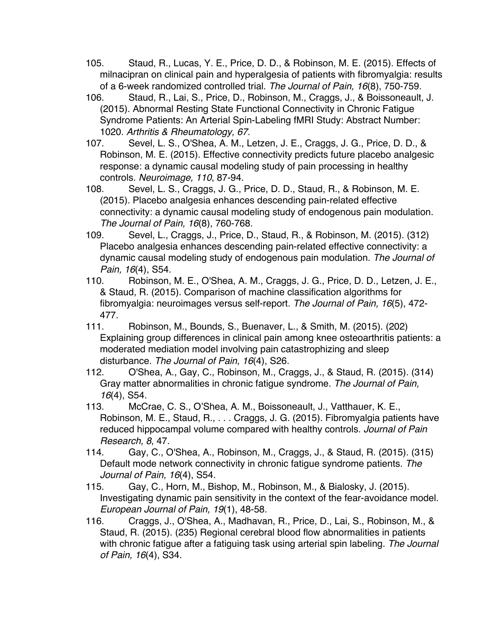- 105. Staud, R., Lucas, Y. E., Price, D. D., & Robinson, M. E. (2015). Effects of milnacipran on clinical pain and hyperalgesia of patients with fibromyalgia: results of a 6-week randomized controlled trial. *The Journal of Pain, 16*(8), 750-759.
- 106. Staud, R., Lai, S., Price, D., Robinson, M., Craggs, J., & Boissoneault, J. (2015). Abnormal Resting State Functional Connectivity in Chronic Fatigue Syndrome Patients: An Arterial Spin-Labeling fMRI Study: Abstract Number: 1020. *Arthritis & Rheumatology, 67*.
- 107. Sevel, L. S., O'Shea, A. M., Letzen, J. E., Craggs, J. G., Price, D. D., & Robinson, M. E. (2015). Effective connectivity predicts future placebo analgesic response: a dynamic causal modeling study of pain processing in healthy controls. *Neuroimage, 110*, 87-94.
- 108. Sevel, L. S., Craggs, J. G., Price, D. D., Staud, R., & Robinson, M. E. (2015). Placebo analgesia enhances descending pain-related effective connectivity: a dynamic causal modeling study of endogenous pain modulation. *The Journal of Pain, 16*(8), 760-768.
- 109. Sevel, L., Craggs, J., Price, D., Staud, R., & Robinson, M. (2015). (312) Placebo analgesia enhances descending pain-related effective connectivity: a dynamic causal modeling study of endogenous pain modulation. *The Journal of Pain, 16*(4), S54.
- 110. Robinson, M. E., O'Shea, A. M., Craggs, J. G., Price, D. D., Letzen, J. E., & Staud, R. (2015). Comparison of machine classification algorithms for fibromyalgia: neuroimages versus self-report. *The Journal of Pain, 16*(5), 472- 477.
- 111. Robinson, M., Bounds, S., Buenaver, L., & Smith, M. (2015). (202) Explaining group differences in clinical pain among knee osteoarthritis patients: a moderated mediation model involving pain catastrophizing and sleep disturbance. *The Journal of Pain, 16*(4), S26.
- 112. O'Shea, A., Gay, C., Robinson, M., Craggs, J., & Staud, R. (2015). (314) Gray matter abnormalities in chronic fatigue syndrome. *The Journal of Pain, 16*(4), S54.
- 113. McCrae, C. S., O'Shea, A. M., Boissoneault, J., Vatthauer, K. E., Robinson, M. E., Staud, R., . . . Craggs, J. G. (2015). Fibromyalgia patients have reduced hippocampal volume compared with healthy controls. *Journal of Pain Research, 8*, 47.
- 114. Gay, C., O'Shea, A., Robinson, M., Craggs, J., & Staud, R. (2015). (315) Default mode network connectivity in chronic fatigue syndrome patients. *The Journal of Pain, 16*(4), S54.
- 115. Gay, C., Horn, M., Bishop, M., Robinson, M., & Bialosky, J. (2015). Investigating dynamic pain sensitivity in the context of the fear‐avoidance model. *European Journal of Pain, 19*(1), 48-58.
- 116. Craggs, J., O'Shea, A., Madhavan, R., Price, D., Lai, S., Robinson, M., & Staud, R. (2015). (235) Regional cerebral blood flow abnormalities in patients with chronic fatigue after a fatiguing task using arterial spin labeling. *The Journal of Pain, 16*(4), S34.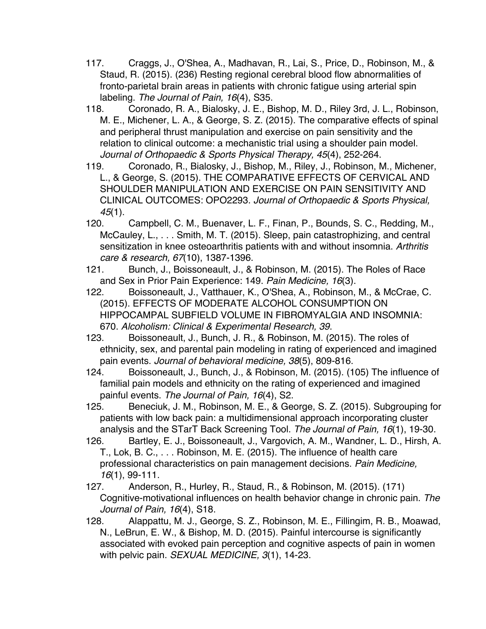- 117. Craggs, J., O'Shea, A., Madhavan, R., Lai, S., Price, D., Robinson, M., & Staud, R. (2015). (236) Resting regional cerebral blood flow abnormalities of fronto-parietal brain areas in patients with chronic fatigue using arterial spin labeling. *The Journal of Pain, 16*(4), S35.
- 118. Coronado, R. A., Bialosky, J. E., Bishop, M. D., Riley 3rd, J. L., Robinson, M. E., Michener, L. A., & George, S. Z. (2015). The comparative effects of spinal and peripheral thrust manipulation and exercise on pain sensitivity and the relation to clinical outcome: a mechanistic trial using a shoulder pain model. *Journal of Orthopaedic & Sports Physical Therapy, 45*(4), 252-264.
- 119. Coronado, R., Bialosky, J., Bishop, M., Riley, J., Robinson, M., Michener, L., & George, S. (2015). THE COMPARATIVE EFFECTS OF CERVICAL AND SHOULDER MANIPULATION AND EXERCISE ON PAIN SENSITIVITY AND CLINICAL OUTCOMES: OPO2293. *Journal of Orthopaedic & Sports Physical, 45*(1).
- 120. Campbell, C. M., Buenaver, L. F., Finan, P., Bounds, S. C., Redding, M., McCauley, L., . . . Smith, M. T. (2015). Sleep, pain catastrophizing, and central sensitization in knee osteoarthritis patients with and without insomnia. *Arthritis care & research, 67*(10), 1387-1396.
- 121. Bunch, J., Boissoneault, J., & Robinson, M. (2015). The Roles of Race and Sex in Prior Pain Experience: 149. *Pain Medicine, 16*(3).
- 122. Boissoneault, J., Vatthauer, K., O'Shea, A., Robinson, M., & McCrae, C. (2015). EFFECTS OF MODERATE ALCOHOL CONSUMPTION ON HIPPOCAMPAL SUBFIELD VOLUME IN FIBROMYALGIA AND INSOMNIA: 670. *Alcoholism: Clinical & Experimental Research, 39*.
- 123. Boissoneault, J., Bunch, J. R., & Robinson, M. (2015). The roles of ethnicity, sex, and parental pain modeling in rating of experienced and imagined pain events. *Journal of behavioral medicine, 38*(5), 809-816.
- 124. Boissoneault, J., Bunch, J., & Robinson, M. (2015). (105) The influence of familial pain models and ethnicity on the rating of experienced and imagined painful events. *The Journal of Pain, 16*(4), S2.
- 125. Beneciuk, J. M., Robinson, M. E., & George, S. Z. (2015). Subgrouping for patients with low back pain: a multidimensional approach incorporating cluster analysis and the STarT Back Screening Tool. *The Journal of Pain, 16*(1), 19-30.
- 126. Bartley, E. J., Boissoneault, J., Vargovich, A. M., Wandner, L. D., Hirsh, A. T., Lok, B. C., . . . Robinson, M. E. (2015). The influence of health care professional characteristics on pain management decisions. *Pain Medicine, 16*(1), 99-111.
- 127. Anderson, R., Hurley, R., Staud, R., & Robinson, M. (2015). (171) Cognitive-motivational influences on health behavior change in chronic pain. *The Journal of Pain, 16*(4), S18.
- 128. Alappattu, M. J., George, S. Z., Robinson, M. E., Fillingim, R. B., Moawad, N., LeBrun, E. W., & Bishop, M. D. (2015). Painful intercourse is significantly associated with evoked pain perception and cognitive aspects of pain in women with pelvic pain. *SEXUAL MEDICINE, 3*(1), 14-23.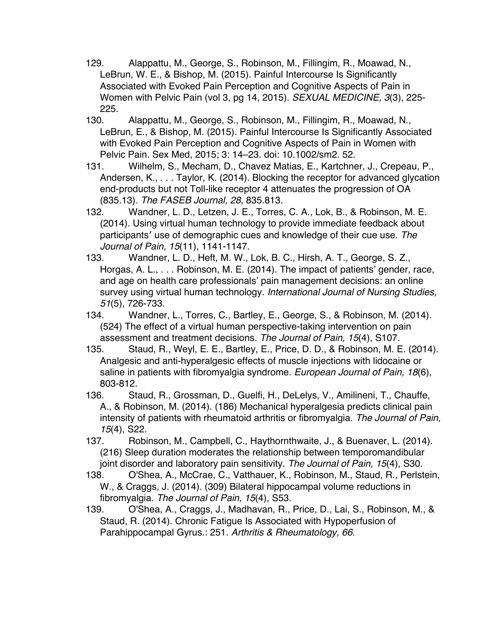- 129. Alappattu, M., George, S., Robinson, M., Fillingim, R., Moawad, N., LeBrun, W. E., & Bishop, M. (2015). Painful Intercourse Is Significantly Associated with Evoked Pain Perception and Cognitive Aspects of Pain in Women with Pelvic Pain (vol 3, pg 14, 2015). *SEXUAL MEDICINE, 3*(3), 225- 225.
- 130. Alappattu, M., George, S., Robinson, M., Fillingim, R., Moawad, N., LeBrun, E., & Bishop, M. (2015). Painful Intercourse Is Significantly Associated with Evoked Pain Perception and Cognitive Aspects of Pain in Women with Pelvic Pain. Sex Med, 2015; 3: 14–23. doi: 10.1002/sm2. 52.
- 131. Wilhelm, S., Mecham, D., Chavez Matias, E., Kartchner, J., Crepeau, P., Andersen, K., . . . Taylor, K. (2014). Blocking the receptor for advanced glycation end-products but not Toll-like receptor 4 attenuates the progression of OA (835.13). *The FASEB Journal, 28*, 835.813.
- 132. Wandner, L. D., Letzen, J. E., Torres, C. A., Lok, B., & Robinson, M. E. (2014). Using virtual human technology to provide immediate feedback about participants′ use of demographic cues and knowledge of their cue use. *The Journal of Pain, 15*(11), 1141-1147.
- 133. Wandner, L. D., Heft, M. W., Lok, B. C., Hirsh, A. T., George, S. Z., Horgas, A. L., . . . Robinson, M. E. (2014). The impact of patients' gender, race, and age on health care professionals' pain management decisions: an online survey using virtual human technology. *International Journal of Nursing Studies, 51*(5), 726-733.
- 134. Wandner, L., Torres, C., Bartley, E., George, S., & Robinson, M. (2014). (524) The effect of a virtual human perspective-taking intervention on pain assessment and treatment decisions. *The Journal of Pain, 15*(4), S107.
- 135. Staud, R., Weyl, E. E., Bartley, E., Price, D. D., & Robinson, M. E. (2014). Analgesic and anti‐hyperalgesic effects of muscle injections with lidocaine or saline in patients with fibromyalgia syndrome. *European Journal of Pain, 18*(6), 803-812.
- 136. Staud, R., Grossman, D., Guelfi, H., DeLelys, V., Amilineni, T., Chauffe, A., & Robinson, M. (2014). (186) Mechanical hyperalgesia predicts clinical pain intensity of patients with rheumatoid arthritis or fibromyalgia. *The Journal of Pain, 15*(4), S22.
- 137. Robinson, M., Campbell, C., Haythornthwaite, J., & Buenaver, L. (2014). (216) Sleep duration moderates the relationship between temporomandibular joint disorder and laboratory pain sensitivity. *The Journal of Pain, 15*(4), S30.
- 138. O'Shea, A., McCrae, C., Vatthauer, K., Robinson, M., Staud, R., Perlstein, W., & Craggs, J. (2014). (309) Bilateral hippocampal volume reductions in fibromyalgia. *The Journal of Pain, 15*(4), S53.
- 139. O'Shea, A., Craggs, J., Madhavan, R., Price, D., Lai, S., Robinson, M., & Staud, R. (2014). Chronic Fatigue Is Associated with Hypoperfusion of Parahippocampal Gyrus.: 251. *Arthritis & Rheumatology, 66*.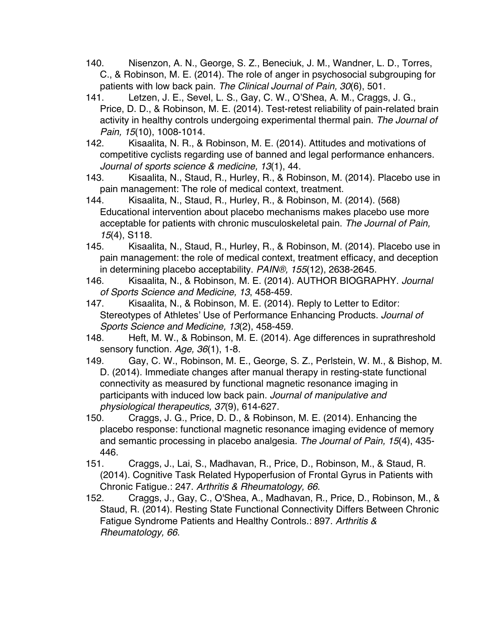- 140. Nisenzon, A. N., George, S. Z., Beneciuk, J. M., Wandner, L. D., Torres, C., & Robinson, M. E. (2014). The role of anger in psychosocial subgrouping for patients with low back pain. *The Clinical Journal of Pain, 30*(6), 501.
- 141. Letzen, J. E., Sevel, L. S., Gay, C. W., O'Shea, A. M., Craggs, J. G., Price, D. D., & Robinson, M. E. (2014). Test-retest reliability of pain-related brain activity in healthy controls undergoing experimental thermal pain. *The Journal of Pain, 15*(10), 1008-1014.
- 142. Kisaalita, N. R., & Robinson, M. E. (2014). Attitudes and motivations of competitive cyclists regarding use of banned and legal performance enhancers. *Journal of sports science & medicine, 13*(1), 44.
- 143. Kisaalita, N., Staud, R., Hurley, R., & Robinson, M. (2014). Placebo use in pain management: The role of medical context, treatment.
- 144. Kisaalita, N., Staud, R., Hurley, R., & Robinson, M. (2014). (568) Educational intervention about placebo mechanisms makes placebo use more acceptable for patients with chronic musculoskeletal pain. *The Journal of Pain, 15*(4), S118.
- 145. Kisaalita, N., Staud, R., Hurley, R., & Robinson, M. (2014). Placebo use in pain management: the role of medical context, treatment efficacy, and deception in determining placebo acceptability. *PAIN®, 155*(12), 2638-2645.
- 146. Kisaalita, N., & Robinson, M. E. (2014). AUTHOR BIOGRAPHY. *Journal of Sports Science and Medicine, 13*, 458-459.
- 147. Kisaalita, N., & Robinson, M. E. (2014). Reply to Letter to Editor: Stereotypes of Athletes' Use of Performance Enhancing Products. *Journal of Sports Science and Medicine, 13*(2), 458-459.
- 148. Heft, M. W., & Robinson, M. E. (2014). Age differences in suprathreshold sensory function. *Age, 36*(1), 1-8.
- 149. Gay, C. W., Robinson, M. E., George, S. Z., Perlstein, W. M., & Bishop, M. D. (2014). Immediate changes after manual therapy in resting-state functional connectivity as measured by functional magnetic resonance imaging in participants with induced low back pain. *Journal of manipulative and physiological therapeutics, 37*(9), 614-627.
- 150. Craggs, J. G., Price, D. D., & Robinson, M. E. (2014). Enhancing the placebo response: functional magnetic resonance imaging evidence of memory and semantic processing in placebo analgesia. *The Journal of Pain, 15*(4), 435- 446.
- 151. Craggs, J., Lai, S., Madhavan, R., Price, D., Robinson, M., & Staud, R. (2014). Cognitive Task Related Hypoperfusion of Frontal Gyrus in Patients with Chronic Fatigue.: 247. *Arthritis & Rheumatology, 66*.
- 152. Craggs, J., Gay, C., O'Shea, A., Madhavan, R., Price, D., Robinson, M., & Staud, R. (2014). Resting State Functional Connectivity Differs Between Chronic Fatigue Syndrome Patients and Healthy Controls.: 897. *Arthritis & Rheumatology, 66*.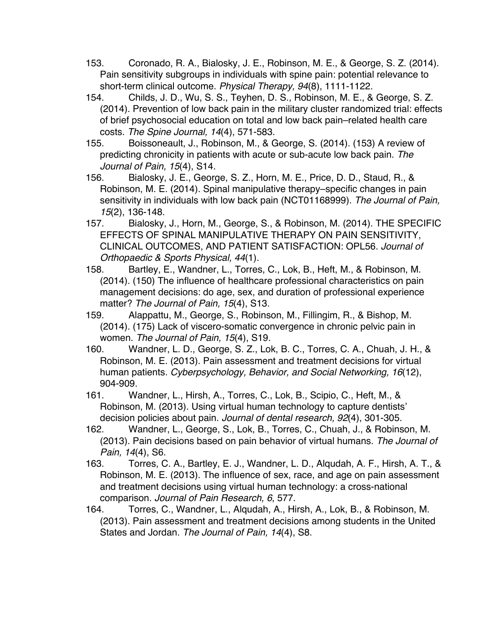- 153. Coronado, R. A., Bialosky, J. E., Robinson, M. E., & George, S. Z. (2014). Pain sensitivity subgroups in individuals with spine pain: potential relevance to short-term clinical outcome. *Physical Therapy, 94*(8), 1111-1122.
- 154. Childs, J. D., Wu, S. S., Teyhen, D. S., Robinson, M. E., & George, S. Z. (2014). Prevention of low back pain in the military cluster randomized trial: effects of brief psychosocial education on total and low back pain–related health care costs. *The Spine Journal, 14*(4), 571-583.
- 155. Boissoneault, J., Robinson, M., & George, S. (2014). (153) A review of predicting chronicity in patients with acute or sub-acute low back pain. *The Journal of Pain, 15*(4), S14.
- 156. Bialosky, J. E., George, S. Z., Horn, M. E., Price, D. D., Staud, R., & Robinson, M. E. (2014). Spinal manipulative therapy–specific changes in pain sensitivity in individuals with low back pain (NCT01168999). *The Journal of Pain, 15*(2), 136-148.
- 157. Bialosky, J., Horn, M., George, S., & Robinson, M. (2014). THE SPECIFIC EFFECTS OF SPINAL MANIPULATIVE THERAPY ON PAIN SENSITIVITY, CLINICAL OUTCOMES, AND PATIENT SATISFACTION: OPL56. *Journal of Orthopaedic & Sports Physical, 44*(1).
- 158. Bartley, E., Wandner, L., Torres, C., Lok, B., Heft, M., & Robinson, M. (2014). (150) The influence of healthcare professional characteristics on pain management decisions: do age, sex, and duration of professional experience matter? *The Journal of Pain, 15*(4), S13.
- 159. Alappattu, M., George, S., Robinson, M., Fillingim, R., & Bishop, M. (2014). (175) Lack of viscero-somatic convergence in chronic pelvic pain in women. *The Journal of Pain, 15*(4), S19.
- 160. Wandner, L. D., George, S. Z., Lok, B. C., Torres, C. A., Chuah, J. H., & Robinson, M. E. (2013). Pain assessment and treatment decisions for virtual human patients. *Cyberpsychology, Behavior, and Social Networking, 16*(12), 904-909.
- 161. Wandner, L., Hirsh, A., Torres, C., Lok, B., Scipio, C., Heft, M., & Robinson, M. (2013). Using virtual human technology to capture dentists' decision policies about pain. *Journal of dental research, 92*(4), 301-305.
- 162. Wandner, L., George, S., Lok, B., Torres, C., Chuah, J., & Robinson, M. (2013). Pain decisions based on pain behavior of virtual humans. *The Journal of Pain, 14*(4), S6.
- 163. Torres, C. A., Bartley, E. J., Wandner, L. D., Alqudah, A. F., Hirsh, A. T., & Robinson, M. E. (2013). The influence of sex, race, and age on pain assessment and treatment decisions using virtual human technology: a cross-national comparison. *Journal of Pain Research, 6*, 577.
- 164. Torres, C., Wandner, L., Alqudah, A., Hirsh, A., Lok, B., & Robinson, M. (2013). Pain assessment and treatment decisions among students in the United States and Jordan. *The Journal of Pain, 14*(4), S8.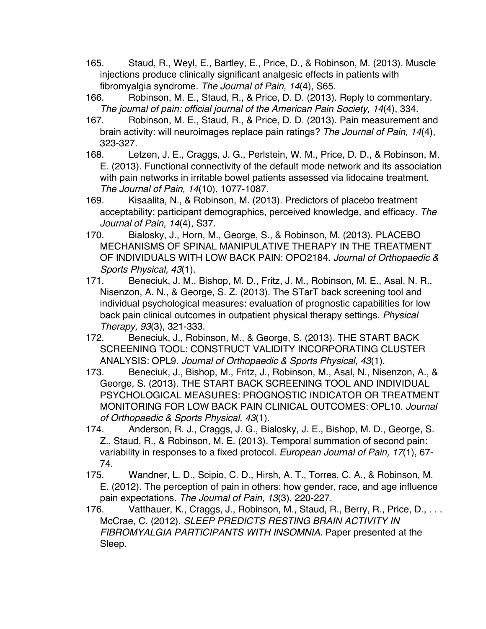- 165. Staud, R., Weyl, E., Bartley, E., Price, D., & Robinson, M. (2013). Muscle injections produce clinically significant analgesic effects in patients with fibromyalgia syndrome. *The Journal of Pain, 14*(4), S65.
- 166. Robinson, M. E., Staud, R., & Price, D. D. (2013). Reply to commentary. *The journal of pain: official journal of the American Pain Society, 14*(4), 334.
- 167. Robinson, M. E., Staud, R., & Price, D. D. (2013). Pain measurement and brain activity: will neuroimages replace pain ratings? *The Journal of Pain, 14*(4), 323-327.
- 168. Letzen, J. E., Craggs, J. G., Perlstein, W. M., Price, D. D., & Robinson, M. E. (2013). Functional connectivity of the default mode network and its association with pain networks in irritable bowel patients assessed via lidocaine treatment. *The Journal of Pain, 14*(10), 1077-1087.
- 169. Kisaalita, N., & Robinson, M. (2013). Predictors of placebo treatment acceptability: participant demographics, perceived knowledge, and efficacy. *The Journal of Pain, 14*(4), S37.
- 170. Bialosky, J., Horn, M., George, S., & Robinson, M. (2013). PLACEBO MECHANISMS OF SPINAL MANIPULATIVE THERAPY IN THE TREATMENT OF INDIVIDUALS WITH LOW BACK PAIN: OPO2184. *Journal of Orthopaedic & Sports Physical, 43*(1).
- 171. Beneciuk, J. M., Bishop, M. D., Fritz, J. M., Robinson, M. E., Asal, N. R., Nisenzon, A. N., & George, S. Z. (2013). The STarT back screening tool and individual psychological measures: evaluation of prognostic capabilities for low back pain clinical outcomes in outpatient physical therapy settings. *Physical Therapy, 93*(3), 321-333.
- 172. Beneciuk, J., Robinson, M., & George, S. (2013). THE START BACK SCREENING TOOL: CONSTRUCT VALIDITY INCORPORATING CLUSTER ANALYSIS: OPL9. *Journal of Orthopaedic & Sports Physical, 43*(1).
- 173. Beneciuk, J., Bishop, M., Fritz, J., Robinson, M., Asal, N., Nisenzon, A., & George, S. (2013). THE START BACK SCREENING TOOL AND INDIVIDUAL PSYCHOLOGICAL MEASURES: PROGNOSTIC INDICATOR OR TREATMENT MONITORING FOR LOW BACK PAIN CLINICAL OUTCOMES: OPL10. *Journal of Orthopaedic & Sports Physical, 43*(1).
- 174. Anderson, R. J., Craggs, J. G., Bialosky, J. E., Bishop, M. D., George, S. Z., Staud, R., & Robinson, M. E. (2013). Temporal summation of second pain: variability in responses to a fixed protocol. *European Journal of Pain, 17*(1), 67- 74.
- 175. Wandner, L. D., Scipio, C. D., Hirsh, A. T., Torres, C. A., & Robinson, M. E. (2012). The perception of pain in others: how gender, race, and age influence pain expectations. *The Journal of Pain, 13*(3), 220-227.
- 176. Vatthauer, K., Craggs, J., Robinson, M., Staud, R., Berry, R., Price, D., . . . McCrae, C. (2012). *SLEEP PREDICTS RESTING BRAIN ACTIVITY IN FIBROMYALGIA PARTICIPANTS WITH INSOMNIA.* Paper presented at the Sleep.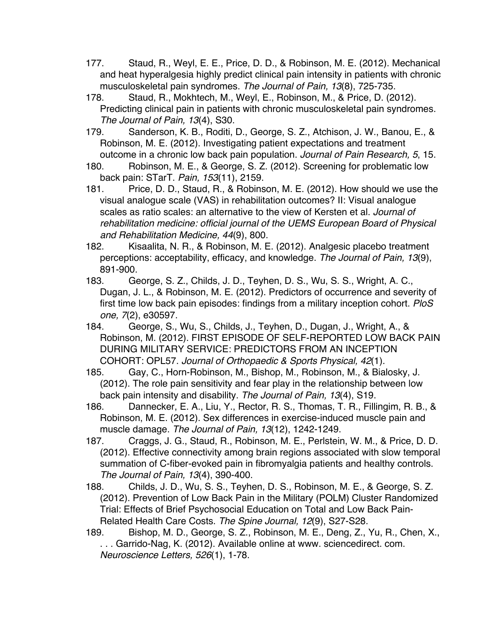- 177. Staud, R., Weyl, E. E., Price, D. D., & Robinson, M. E. (2012). Mechanical and heat hyperalgesia highly predict clinical pain intensity in patients with chronic musculoskeletal pain syndromes. *The Journal of Pain, 13*(8), 725-735.
- 178. Staud, R., Mokhtech, M., Weyl, E., Robinson, M., & Price, D. (2012). Predicting clinical pain in patients with chronic musculoskeletal pain syndromes. *The Journal of Pain, 13*(4), S30.
- 179. Sanderson, K. B., Roditi, D., George, S. Z., Atchison, J. W., Banou, E., & Robinson, M. E. (2012). Investigating patient expectations and treatment outcome in a chronic low back pain population. *Journal of Pain Research, 5*, 15.
- 180. Robinson, M. E., & George, S. Z. (2012). Screening for problematic low back pain: STarT. *Pain, 153*(11), 2159.
- 181. Price, D. D., Staud, R., & Robinson, M. E. (2012). How should we use the visual analogue scale (VAS) in rehabilitation outcomes? II: Visual analogue scales as ratio scales: an alternative to the view of Kersten et al. *Journal of rehabilitation medicine: official journal of the UEMS European Board of Physical and Rehabilitation Medicine, 44*(9), 800.
- 182. Kisaalita, N. R., & Robinson, M. E. (2012). Analgesic placebo treatment perceptions: acceptability, efficacy, and knowledge. *The Journal of Pain, 13*(9), 891-900.
- 183. George, S. Z., Childs, J. D., Teyhen, D. S., Wu, S. S., Wright, A. C., Dugan, J. L., & Robinson, M. E. (2012). Predictors of occurrence and severity of first time low back pain episodes: findings from a military inception cohort. *PloS one, 7*(2), e30597.
- 184. George, S., Wu, S., Childs, J., Teyhen, D., Dugan, J., Wright, A., & Robinson, M. (2012). FIRST EPISODE OF SELF-REPORTED LOW BACK PAIN DURING MILITARY SERVICE: PREDICTORS FROM AN INCEPTION COHORT: OPL57. *Journal of Orthopaedic & Sports Physical, 42*(1).
- 185. Gay, C., Horn-Robinson, M., Bishop, M., Robinson, M., & Bialosky, J. (2012). The role pain sensitivity and fear play in the relationship between low back pain intensity and disability. *The Journal of Pain, 13*(4), S19.
- 186. Dannecker, E. A., Liu, Y., Rector, R. S., Thomas, T. R., Fillingim, R. B., & Robinson, M. E. (2012). Sex differences in exercise-induced muscle pain and muscle damage. *The Journal of Pain, 13*(12), 1242-1249.
- 187. Craggs, J. G., Staud, R., Robinson, M. E., Perlstein, W. M., & Price, D. D. (2012). Effective connectivity among brain regions associated with slow temporal summation of C-fiber-evoked pain in fibromyalgia patients and healthy controls. *The Journal of Pain, 13*(4), 390-400.
- 188. Childs, J. D., Wu, S. S., Teyhen, D. S., Robinson, M. E., & George, S. Z. (2012). Prevention of Low Back Pain in the Military (POLM) Cluster Randomized Trial: Effects of Brief Psychosocial Education on Total and Low Back Pain-Related Health Care Costs. *The Spine Journal, 12*(9), S27-S28.
- 189. Bishop, M. D., George, S. Z., Robinson, M. E., Deng, Z., Yu, R., Chen, X., . . . Garrido-Nag, K. (2012). Available online at www. sciencedirect. com. *Neuroscience Letters, 526*(1), 1-78.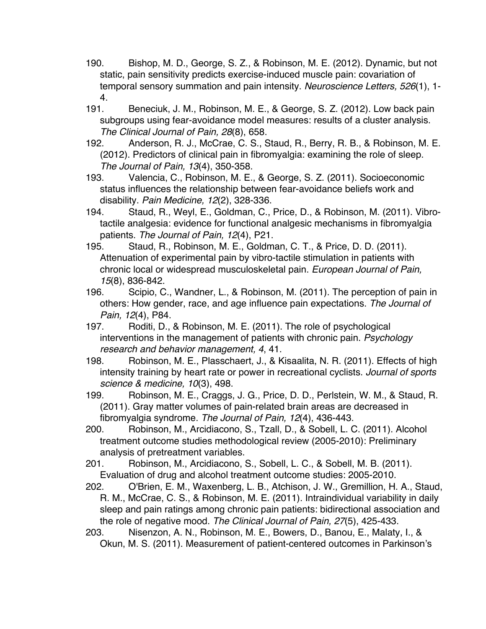- 190. Bishop, M. D., George, S. Z., & Robinson, M. E. (2012). Dynamic, but not static, pain sensitivity predicts exercise-induced muscle pain: covariation of temporal sensory summation and pain intensity. *Neuroscience Letters, 526*(1), 1- 4.
- 191. Beneciuk, J. M., Robinson, M. E., & George, S. Z. (2012). Low back pain subgroups using fear-avoidance model measures: results of a cluster analysis. *The Clinical Journal of Pain, 28*(8), 658.
- 192. Anderson, R. J., McCrae, C. S., Staud, R., Berry, R. B., & Robinson, M. E. (2012). Predictors of clinical pain in fibromyalgia: examining the role of sleep. *The Journal of Pain, 13*(4), 350-358.
- 193. Valencia, C., Robinson, M. E., & George, S. Z. (2011). Socioeconomic status influences the relationship between fear-avoidance beliefs work and disability. *Pain Medicine, 12*(2), 328-336.
- 194. Staud, R., Weyl, E., Goldman, C., Price, D., & Robinson, M. (2011). Vibrotactile analgesia: evidence for functional analgesic mechanisms in fibromyalgia patients. *The Journal of Pain, 12*(4), P21.
- 195. Staud, R., Robinson, M. E., Goldman, C. T., & Price, D. D. (2011). Attenuation of experimental pain by vibro-tactile stimulation in patients with chronic local or widespread musculoskeletal pain. *European Journal of Pain, 15*(8), 836-842.
- 196. Scipio, C., Wandner, L., & Robinson, M. (2011). The perception of pain in others: How gender, race, and age influence pain expectations. *The Journal of Pain, 12*(4), P84.
- 197. Roditi, D., & Robinson, M. E. (2011). The role of psychological interventions in the management of patients with chronic pain. *Psychology research and behavior management, 4*, 41.
- 198. Robinson, M. E., Plasschaert, J., & Kisaalita, N. R. (2011). Effects of high intensity training by heart rate or power in recreational cyclists. *Journal of sports science & medicine, 10*(3), 498.
- 199. Robinson, M. E., Craggs, J. G., Price, D. D., Perlstein, W. M., & Staud, R. (2011). Gray matter volumes of pain-related brain areas are decreased in fibromyalgia syndrome. *The Journal of Pain, 12*(4), 436-443.
- 200. Robinson, M., Arcidiacono, S., Tzall, D., & Sobell, L. C. (2011). Alcohol treatment outcome studies methodological review (2005-2010): Preliminary analysis of pretreatment variables.
- 201. Robinson, M., Arcidiacono, S., Sobell, L. C., & Sobell, M. B. (2011). Evaluation of drug and alcohol treatment outcome studies: 2005-2010.
- 202. O'Brien, E. M., Waxenberg, L. B., Atchison, J. W., Gremillion, H. A., Staud, R. M., McCrae, C. S., & Robinson, M. E. (2011). Intraindividual variability in daily sleep and pain ratings among chronic pain patients: bidirectional association and the role of negative mood. *The Clinical Journal of Pain, 27*(5), 425-433.
- 203. Nisenzon, A. N., Robinson, M. E., Bowers, D., Banou, E., Malaty, I., & Okun, M. S. (2011). Measurement of patient-centered outcomes in Parkinson's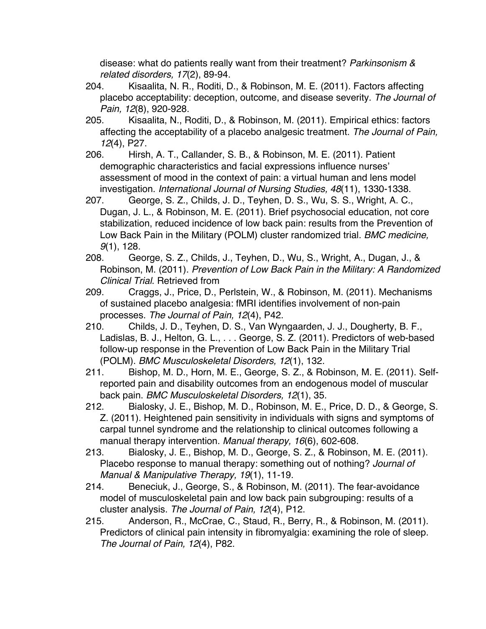disease: what do patients really want from their treatment? *Parkinsonism & related disorders, 17*(2), 89-94.

- 204. Kisaalita, N. R., Roditi, D., & Robinson, M. E. (2011). Factors affecting placebo acceptability: deception, outcome, and disease severity. *The Journal of Pain, 12*(8), 920-928.
- 205. Kisaalita, N., Roditi, D., & Robinson, M. (2011). Empirical ethics: factors affecting the acceptability of a placebo analgesic treatment. *The Journal of Pain, 12*(4), P27.
- 206. Hirsh, A. T., Callander, S. B., & Robinson, M. E. (2011). Patient demographic characteristics and facial expressions influence nurses' assessment of mood in the context of pain: a virtual human and lens model investigation. *International Journal of Nursing Studies, 48*(11), 1330-1338.
- 207. George, S. Z., Childs, J. D., Teyhen, D. S., Wu, S. S., Wright, A. C., Dugan, J. L., & Robinson, M. E. (2011). Brief psychosocial education, not core stabilization, reduced incidence of low back pain: results from the Prevention of Low Back Pain in the Military (POLM) cluster randomized trial. *BMC medicine, 9*(1), 128.
- 208. George, S. Z., Childs, J., Teyhen, D., Wu, S., Wright, A., Dugan, J., & Robinson, M. (2011). *Prevention of Low Back Pain in the Military: A Randomized Clinical Trial*. Retrieved from
- 209. Craggs, J., Price, D., Perlstein, W., & Robinson, M. (2011). Mechanisms of sustained placebo analgesia: fMRI identifies involvement of non-pain processes. *The Journal of Pain, 12*(4), P42.
- 210. Childs, J. D., Teyhen, D. S., Van Wyngaarden, J. J., Dougherty, B. F., Ladislas, B. J., Helton, G. L., . . . George, S. Z. (2011). Predictors of web-based follow-up response in the Prevention of Low Back Pain in the Military Trial (POLM). *BMC Musculoskeletal Disorders, 12*(1), 132.
- 211. Bishop, M. D., Horn, M. E., George, S. Z., & Robinson, M. E. (2011). Selfreported pain and disability outcomes from an endogenous model of muscular back pain. *BMC Musculoskeletal Disorders, 12*(1), 35.
- 212. Bialosky, J. E., Bishop, M. D., Robinson, M. E., Price, D. D., & George, S. Z. (2011). Heightened pain sensitivity in individuals with signs and symptoms of carpal tunnel syndrome and the relationship to clinical outcomes following a manual therapy intervention. *Manual therapy, 16*(6), 602-608.
- 213. Bialosky, J. E., Bishop, M. D., George, S. Z., & Robinson, M. E. (2011). Placebo response to manual therapy: something out of nothing? *Journal of Manual & Manipulative Therapy, 19*(1), 11-19.
- 214. Beneciuk, J., George, S., & Robinson, M. (2011). The fear-avoidance model of musculoskeletal pain and low back pain subgrouping: results of a cluster analysis. *The Journal of Pain, 12*(4), P12.
- 215. Anderson, R., McCrae, C., Staud, R., Berry, R., & Robinson, M. (2011). Predictors of clinical pain intensity in fibromyalgia: examining the role of sleep. *The Journal of Pain, 12*(4), P82.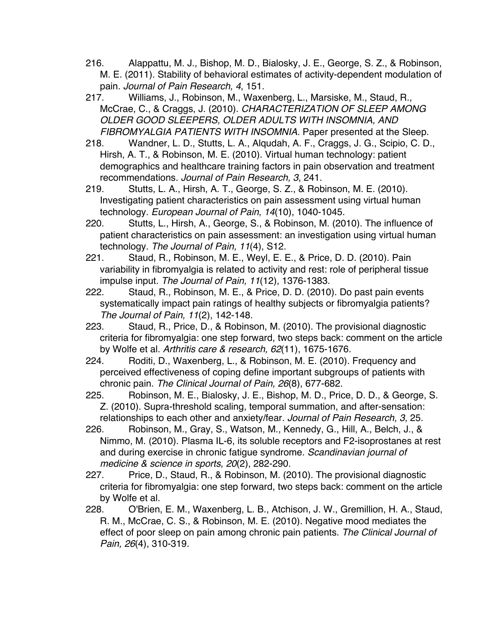- 216. Alappattu, M. J., Bishop, M. D., Bialosky, J. E., George, S. Z., & Robinson, M. E. (2011). Stability of behavioral estimates of activity-dependent modulation of pain. *Journal of Pain Research, 4*, 151.
- 217. Williams, J., Robinson, M., Waxenberg, L., Marsiske, M., Staud, R., McCrae, C., & Craggs, J. (2010). *CHARACTERIZATION OF SLEEP AMONG OLDER GOOD SLEEPERS, OLDER ADULTS WITH INSOMNIA, AND FIBROMYALGIA PATIENTS WITH INSOMNIA.* Paper presented at the Sleep.
- 218. Wandner, L. D., Stutts, L. A., Alqudah, A. F., Craggs, J. G., Scipio, C. D., Hirsh, A. T., & Robinson, M. E. (2010). Virtual human technology: patient demographics and healthcare training factors in pain observation and treatment recommendations. *Journal of Pain Research, 3*, 241.
- 219. Stutts, L. A., Hirsh, A. T., George, S. Z., & Robinson, M. E. (2010). Investigating patient characteristics on pain assessment using virtual human technology. *European Journal of Pain, 14*(10), 1040-1045.
- 220. Stutts, L., Hirsh, A., George, S., & Robinson, M. (2010). The influence of patient characteristics on pain assessment: an investigation using virtual human technology. *The Journal of Pain, 11*(4), S12.
- 221. Staud, R., Robinson, M. E., Weyl, E. E., & Price, D. D. (2010). Pain variability in fibromyalgia is related to activity and rest: role of peripheral tissue impulse input. *The Journal of Pain, 11*(12), 1376-1383.
- 222. Staud, R., Robinson, M. E., & Price, D. D. (2010). Do past pain events systematically impact pain ratings of healthy subjects or fibromyalgia patients? *The Journal of Pain, 11*(2), 142-148.
- 223. Staud, R., Price, D., & Robinson, M. (2010). The provisional diagnostic criteria for fibromyalgia: one step forward, two steps back: comment on the article by Wolfe et al. *Arthritis care & research, 62*(11), 1675-1676.
- 224. Roditi, D., Waxenberg, L., & Robinson, M. E. (2010). Frequency and perceived effectiveness of coping define important subgroups of patients with chronic pain. *The Clinical Journal of Pain, 26*(8), 677-682.
- 225. Robinson, M. E., Bialosky, J. E., Bishop, M. D., Price, D. D., & George, S. Z. (2010). Supra-threshold scaling, temporal summation, and after-sensation: relationships to each other and anxiety/fear. *Journal of Pain Research, 3*, 25.
- 226. Robinson, M., Gray, S., Watson, M., Kennedy, G., Hill, A., Belch, J., & Nimmo, M. (2010). Plasma IL‐6, its soluble receptors and F2‐isoprostanes at rest and during exercise in chronic fatigue syndrome. *Scandinavian journal of medicine & science in sports, 20*(2), 282-290.
- 227. Price, D., Staud, R., & Robinson, M. (2010). The provisional diagnostic criteria for fibromyalgia: one step forward, two steps back: comment on the article by Wolfe et al.
- 228. O'Brien, E. M., Waxenberg, L. B., Atchison, J. W., Gremillion, H. A., Staud, R. M., McCrae, C. S., & Robinson, M. E. (2010). Negative mood mediates the effect of poor sleep on pain among chronic pain patients. *The Clinical Journal of Pain, 26*(4), 310-319.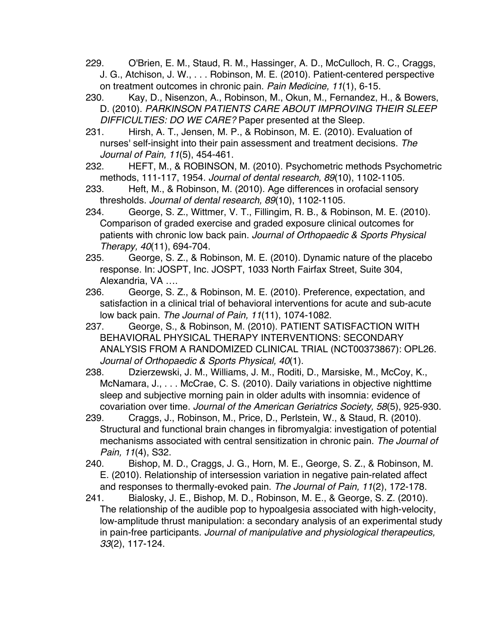- 229. O'Brien, E. M., Staud, R. M., Hassinger, A. D., McCulloch, R. C., Craggs, J. G., Atchison, J. W., . . . Robinson, M. E. (2010). Patient-centered perspective on treatment outcomes in chronic pain. *Pain Medicine, 11*(1), 6-15.
- 230. Kay, D., Nisenzon, A., Robinson, M., Okun, M., Fernandez, H., & Bowers, D. (2010). *PARKINSON PATIENTS CARE ABOUT IMPROVING THEIR SLEEP DIFFICULTIES: DO WE CARE?* Paper presented at the Sleep.
- 231. Hirsh, A. T., Jensen, M. P., & Robinson, M. E. (2010). Evaluation of nurses' self-insight into their pain assessment and treatment decisions. *The Journal of Pain, 11*(5), 454-461.
- 232. HEFT, M., & ROBINSON, M. (2010). Psychometric methods Psychometric methods, 111-117, 1954. *Journal of dental research, 89*(10), 1102-1105.
- 233. Heft, M., & Robinson, M. (2010). Age differences in orofacial sensory thresholds. *Journal of dental research, 89*(10), 1102-1105.
- 234. George, S. Z., Wittmer, V. T., Fillingim, R. B., & Robinson, M. E. (2010). Comparison of graded exercise and graded exposure clinical outcomes for patients with chronic low back pain. *Journal of Orthopaedic & Sports Physical Therapy, 40*(11), 694-704.
- 235. George, S. Z., & Robinson, M. E. (2010). Dynamic nature of the placebo response. In: JOSPT, Inc. JOSPT, 1033 North Fairfax Street, Suite 304, Alexandria, VA ….
- 236. George, S. Z., & Robinson, M. E. (2010). Preference, expectation, and satisfaction in a clinical trial of behavioral interventions for acute and sub-acute low back pain. *The Journal of Pain, 11*(11), 1074-1082.
- 237. George, S., & Robinson, M. (2010). PATIENT SATISFACTION WITH BEHAVIORAL PHYSICAL THERAPY INTERVENTIONS: SECONDARY ANALYSIS FROM A RANDOMIZED CLINICAL TRIAL (NCT00373867): OPL26. *Journal of Orthopaedic & Sports Physical, 40*(1).
- 238. Dzierzewski, J. M., Williams, J. M., Roditi, D., Marsiske, M., McCoy, K., McNamara, J., . . . McCrae, C. S. (2010). Daily variations in objective nighttime sleep and subjective morning pain in older adults with insomnia: evidence of covariation over time. *Journal of the American Geriatrics Society, 58*(5), 925-930.
- 239. Craggs, J., Robinson, M., Price, D., Perlstein, W., & Staud, R. (2010). Structural and functional brain changes in fibromyalgia: investigation of potential mechanisms associated with central sensitization in chronic pain. *The Journal of Pain, 11*(4), S32.
- 240. Bishop, M. D., Craggs, J. G., Horn, M. E., George, S. Z., & Robinson, M. E. (2010). Relationship of intersession variation in negative pain-related affect and responses to thermally-evoked pain. *The Journal of Pain, 11*(2), 172-178.
- 241. Bialosky, J. E., Bishop, M. D., Robinson, M. E., & George, S. Z. (2010). The relationship of the audible pop to hypoalgesia associated with high-velocity, low-amplitude thrust manipulation: a secondary analysis of an experimental study in pain-free participants. *Journal of manipulative and physiological therapeutics, 33*(2), 117-124.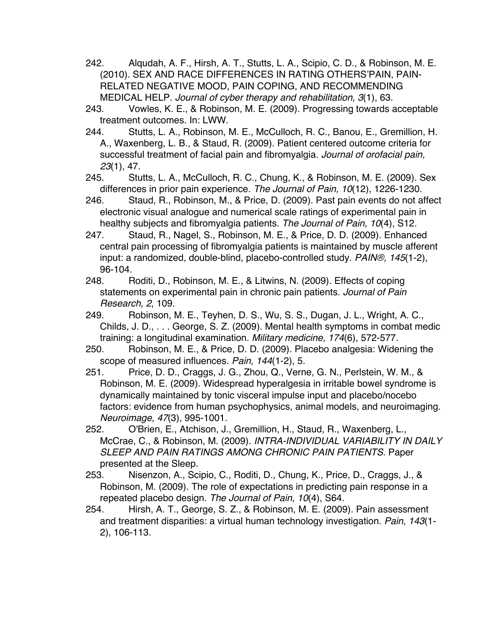- 242. Alqudah, A. F., Hirsh, A. T., Stutts, L. A., Scipio, C. D., & Robinson, M. E. (2010). SEX AND RACE DIFFERENCES IN RATING OTHERS'PAIN, PAIN-RELATED NEGATIVE MOOD, PAIN COPING, AND RECOMMENDING MEDICAL HELP. *Journal of cyber therapy and rehabilitation, 3*(1), 63.
- 243. Vowles, K. E., & Robinson, M. E. (2009). Progressing towards acceptable treatment outcomes. In: LWW.
- 244. Stutts, L. A., Robinson, M. E., McCulloch, R. C., Banou, E., Gremillion, H. A., Waxenberg, L. B., & Staud, R. (2009). Patient centered outcome criteria for successful treatment of facial pain and fibromyalgia. *Journal of orofacial pain, 23*(1), 47.
- 245. Stutts, L. A., McCulloch, R. C., Chung, K., & Robinson, M. E. (2009). Sex differences in prior pain experience. *The Journal of Pain, 10*(12), 1226-1230.
- 246. Staud, R., Robinson, M., & Price, D. (2009). Past pain events do not affect electronic visual analogue and numerical scale ratings of experimental pain in healthy subjects and fibromyalgia patients. *The Journal of Pain, 10*(4), S12.
- 247. Staud, R., Nagel, S., Robinson, M. E., & Price, D. D. (2009). Enhanced central pain processing of fibromyalgia patients is maintained by muscle afferent input: a randomized, double-blind, placebo-controlled study. *PAIN®, 145*(1-2), 96-104.
- 248. Roditi, D., Robinson, M. E., & Litwins, N. (2009). Effects of coping statements on experimental pain in chronic pain patients. *Journal of Pain Research, 2*, 109.
- 249. Robinson, M. E., Teyhen, D. S., Wu, S. S., Dugan, J. L., Wright, A. C., Childs, J. D., . . . George, S. Z. (2009). Mental health symptoms in combat medic training: a longitudinal examination. *Military medicine, 174*(6), 572-577.
- 250. Robinson, M. E., & Price, D. D. (2009). Placebo analgesia: Widening the scope of measured influences. *Pain, 144*(1-2), 5.
- 251. Price, D. D., Craggs, J. G., Zhou, Q., Verne, G. N., Perlstein, W. M., & Robinson, M. E. (2009). Widespread hyperalgesia in irritable bowel syndrome is dynamically maintained by tonic visceral impulse input and placebo/nocebo factors: evidence from human psychophysics, animal models, and neuroimaging. *Neuroimage, 47*(3), 995-1001.
- 252. O'Brien, E., Atchison, J., Gremillion, H., Staud, R., Waxenberg, L., McCrae, C., & Robinson, M. (2009). *INTRA-INDIVIDUAL VARIABILITY IN DAILY SLEEP AND PAIN RATINGS AMONG CHRONIC PAIN PATIENTS.* Paper presented at the Sleep.
- 253. Nisenzon, A., Scipio, C., Roditi, D., Chung, K., Price, D., Craggs, J., & Robinson, M. (2009). The role of expectations in predicting pain response in a repeated placebo design. *The Journal of Pain, 10*(4), S64.
- 254. Hirsh, A. T., George, S. Z., & Robinson, M. E. (2009). Pain assessment and treatment disparities: a virtual human technology investigation. *Pain, 143*(1- 2), 106-113.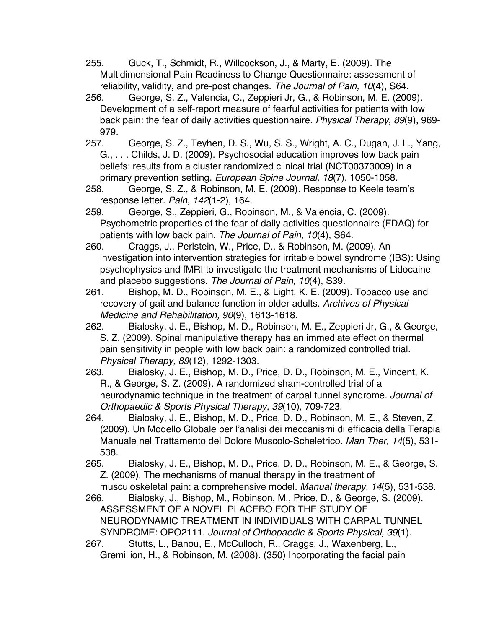255. Guck, T., Schmidt, R., Willcockson, J., & Marty, E. (2009). The Multidimensional Pain Readiness to Change Questionnaire: assessment of reliability, validity, and pre-post changes. *The Journal of Pain, 10*(4), S64.

256. George, S. Z., Valencia, C., Zeppieri Jr, G., & Robinson, M. E. (2009). Development of a self-report measure of fearful activities for patients with low back pain: the fear of daily activities questionnaire. *Physical Therapy, 89*(9), 969- 979.

257. George, S. Z., Teyhen, D. S., Wu, S. S., Wright, A. C., Dugan, J. L., Yang, G., . . . Childs, J. D. (2009). Psychosocial education improves low back pain beliefs: results from a cluster randomized clinical trial (NCT00373009) in a primary prevention setting. *European Spine Journal, 18*(7), 1050-1058.

258. George, S. Z., & Robinson, M. E. (2009). Response to Keele team's response letter. *Pain, 142*(1-2), 164.

259. George, S., Zeppieri, G., Robinson, M., & Valencia, C. (2009). Psychometric properties of the fear of daily activities questionnaire (FDAQ) for patients with low back pain. *The Journal of Pain, 10*(4), S64.

260. Craggs, J., Perlstein, W., Price, D., & Robinson, M. (2009). An investigation into intervention strategies for irritable bowel syndrome (IBS): Using psychophysics and fMRI to investigate the treatment mechanisms of Lidocaine and placebo suggestions. *The Journal of Pain, 10*(4), S39.

261. Bishop, M. D., Robinson, M. E., & Light, K. E. (2009). Tobacco use and recovery of gait and balance function in older adults. *Archives of Physical Medicine and Rehabilitation, 90*(9), 1613-1618.

262. Bialosky, J. E., Bishop, M. D., Robinson, M. E., Zeppieri Jr, G., & George, S. Z. (2009). Spinal manipulative therapy has an immediate effect on thermal pain sensitivity in people with low back pain: a randomized controlled trial. *Physical Therapy, 89*(12), 1292-1303.

263. Bialosky, J. E., Bishop, M. D., Price, D. D., Robinson, M. E., Vincent, K. R., & George, S. Z. (2009). A randomized sham-controlled trial of a neurodynamic technique in the treatment of carpal tunnel syndrome. *Journal of Orthopaedic & Sports Physical Therapy, 39*(10), 709-723.

264. Bialosky, J. E., Bishop, M. D., Price, D. D., Robinson, M. E., & Steven, Z. (2009). Un Modello Globale per l'analisi dei meccanismi di efficacia della Terapia Manuale nel Trattamento del Dolore Muscolo-Scheletrico. *Man Ther, 14*(5), 531- 538.

265. Bialosky, J. E., Bishop, M. D., Price, D. D., Robinson, M. E., & George, S. Z. (2009). The mechanisms of manual therapy in the treatment of musculoskeletal pain: a comprehensive model. *Manual therapy, 14*(5), 531-538.

266. Bialosky, J., Bishop, M., Robinson, M., Price, D., & George, S. (2009). ASSESSMENT OF A NOVEL PLACEBO FOR THE STUDY OF NEURODYNAMIC TREATMENT IN INDIVIDUALS WITH CARPAL TUNNEL SYNDROME: OPO2111. *Journal of Orthopaedic & Sports Physical, 39*(1).

267. Stutts, L., Banou, E., McCulloch, R., Craggs, J., Waxenberg, L., Gremillion, H., & Robinson, M. (2008). (350) Incorporating the facial pain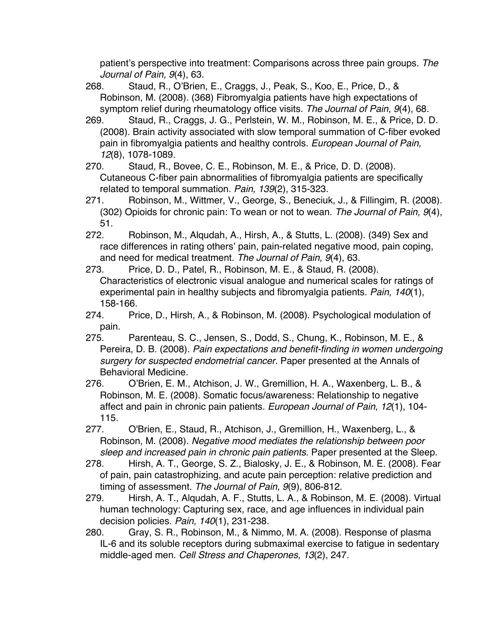patient's perspective into treatment: Comparisons across three pain groups. *The Journal of Pain, 9*(4), 63.

268. Staud, R., O'Brien, E., Craggs, J., Peak, S., Koo, E., Price, D., & Robinson, M. (2008). (368) Fibromyalgia patients have high expectations of symptom relief during rheumatology office visits. *The Journal of Pain, 9*(4), 68.

269. Staud, R., Craggs, J. G., Perlstein, W. M., Robinson, M. E., & Price, D. D. (2008). Brain activity associated with slow temporal summation of C-fiber evoked pain in fibromyalgia patients and healthy controls. *European Journal of Pain, 12*(8), 1078-1089.

270. Staud, R., Bovee, C. E., Robinson, M. E., & Price, D. D. (2008). Cutaneous C-fiber pain abnormalities of fibromyalgia patients are specifically related to temporal summation. *Pain, 139*(2), 315-323.

- 271. Robinson, M., Wittmer, V., George, S., Beneciuk, J., & Fillingim, R. (2008). (302) Opioids for chronic pain: To wean or not to wean. *The Journal of Pain, 9*(4), 51.
- 272. Robinson, M., Alqudah, A., Hirsh, A., & Stutts, L. (2008). (349) Sex and race differences in rating others' pain, pain-related negative mood, pain coping, and need for medical treatment. *The Journal of Pain, 9*(4), 63.
- 273. Price, D. D., Patel, R., Robinson, M. E., & Staud, R. (2008). Characteristics of electronic visual analogue and numerical scales for ratings of experimental pain in healthy subjects and fibromyalgia patients. *Pain, 140*(1), 158-166.
- 274. Price, D., Hirsh, A., & Robinson, M. (2008). Psychological modulation of pain.
- 275. Parenteau, S. C., Jensen, S., Dodd, S., Chung, K., Robinson, M. E., & Pereira, D. B. (2008). *Pain expectations and benefit-finding in women undergoing surgery for suspected endometrial cancer.* Paper presented at the Annals of Behavioral Medicine.
- 276. O'Brien, E. M., Atchison, J. W., Gremillion, H. A., Waxenberg, L. B., & Robinson, M. E. (2008). Somatic focus/awareness: Relationship to negative affect and pain in chronic pain patients. *European Journal of Pain, 12*(1), 104- 115.
- 277. O'Brien, E., Staud, R., Atchison, J., Gremillion, H., Waxenberg, L., & Robinson, M. (2008). *Negative mood mediates the relationship between poor sleep and increased pain in chronic pain patients.* Paper presented at the Sleep.
- 278. Hirsh, A. T., George, S. Z., Bialosky, J. E., & Robinson, M. E. (2008). Fear of pain, pain catastrophizing, and acute pain perception: relative prediction and timing of assessment. *The Journal of Pain, 9*(9), 806-812.
- 279. Hirsh, A. T., Alqudah, A. F., Stutts, L. A., & Robinson, M. E. (2008). Virtual human technology: Capturing sex, race, and age influences in individual pain decision policies. *Pain, 140*(1), 231-238.
- 280. Gray, S. R., Robinson, M., & Nimmo, M. A. (2008). Response of plasma IL-6 and its soluble receptors during submaximal exercise to fatigue in sedentary middle-aged men. *Cell Stress and Chaperones, 13*(2), 247.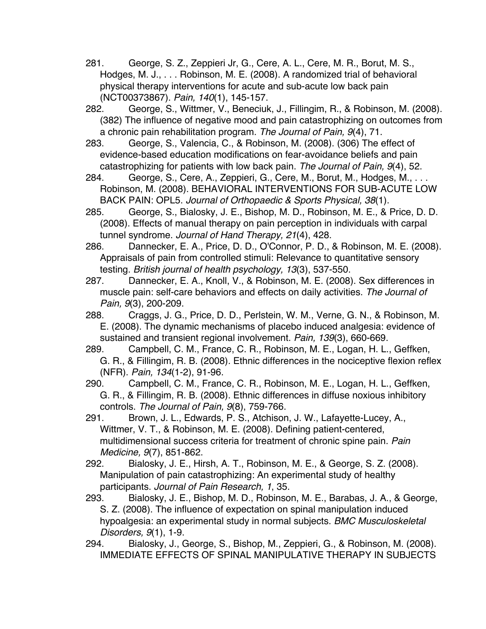- 281. George, S. Z., Zeppieri Jr, G., Cere, A. L., Cere, M. R., Borut, M. S., Hodges, M. J., . . . Robinson, M. E. (2008). A randomized trial of behavioral physical therapy interventions for acute and sub-acute low back pain (NCT00373867). *Pain, 140*(1), 145-157.
- 282. George, S., Wittmer, V., Beneciuk, J., Fillingim, R., & Robinson, M. (2008). (382) The influence of negative mood and pain catastrophizing on outcomes from a chronic pain rehabilitation program. *The Journal of Pain, 9*(4), 71.
- 283. George, S., Valencia, C., & Robinson, M. (2008). (306) The effect of evidence-based education modifications on fear-avoidance beliefs and pain catastrophizing for patients with low back pain. *The Journal of Pain, 9*(4), 52.
- 284. George, S., Cere, A., Zeppieri, G., Cere, M., Borut, M., Hodges, M., . . . Robinson, M. (2008). BEHAVIORAL INTERVENTIONS FOR SUB-ACUTE LOW BACK PAIN: OPL5. *Journal of Orthopaedic & Sports Physical, 38*(1).
- 285. George, S., Bialosky, J. E., Bishop, M. D., Robinson, M. E., & Price, D. D. (2008). Effects of manual therapy on pain perception in individuals with carpal tunnel syndrome. *Journal of Hand Therapy, 21*(4), 428.
- 286. Dannecker, E. A., Price, D. D., O'Connor, P. D., & Robinson, M. E. (2008). Appraisals of pain from controlled stimuli: Relevance to quantitative sensory testing. *British journal of health psychology, 13*(3), 537-550.
- 287. Dannecker, E. A., Knoll, V., & Robinson, M. E. (2008). Sex differences in muscle pain: self-care behaviors and effects on daily activities. *The Journal of Pain, 9*(3), 200-209.
- 288. Craggs, J. G., Price, D. D., Perlstein, W. M., Verne, G. N., & Robinson, M. E. (2008). The dynamic mechanisms of placebo induced analgesia: evidence of sustained and transient regional involvement. *Pain, 139*(3), 660-669.
- 289. Campbell, C. M., France, C. R., Robinson, M. E., Logan, H. L., Geffken, G. R., & Fillingim, R. B. (2008). Ethnic differences in the nociceptive flexion reflex (NFR). *Pain, 134*(1-2), 91-96.
- 290. Campbell, C. M., France, C. R., Robinson, M. E., Logan, H. L., Geffken, G. R., & Fillingim, R. B. (2008). Ethnic differences in diffuse noxious inhibitory controls. *The Journal of Pain, 9*(8), 759-766.
- 291. Brown, J. L., Edwards, P. S., Atchison, J. W., Lafayette-Lucey, A., Wittmer, V. T., & Robinson, M. E. (2008). Defining patient-centered, multidimensional success criteria for treatment of chronic spine pain. *Pain Medicine, 9*(7), 851-862.
- 292. Bialosky, J. E., Hirsh, A. T., Robinson, M. E., & George, S. Z. (2008). Manipulation of pain catastrophizing: An experimental study of healthy participants. *Journal of Pain Research, 1*, 35.
- 293. Bialosky, J. E., Bishop, M. D., Robinson, M. E., Barabas, J. A., & George, S. Z. (2008). The influence of expectation on spinal manipulation induced hypoalgesia: an experimental study in normal subjects. *BMC Musculoskeletal Disorders, 9*(1), 1-9.
- 294. Bialosky, J., George, S., Bishop, M., Zeppieri, G., & Robinson, M. (2008). IMMEDIATE EFFECTS OF SPINAL MANIPULATIVE THERAPY IN SUBJECTS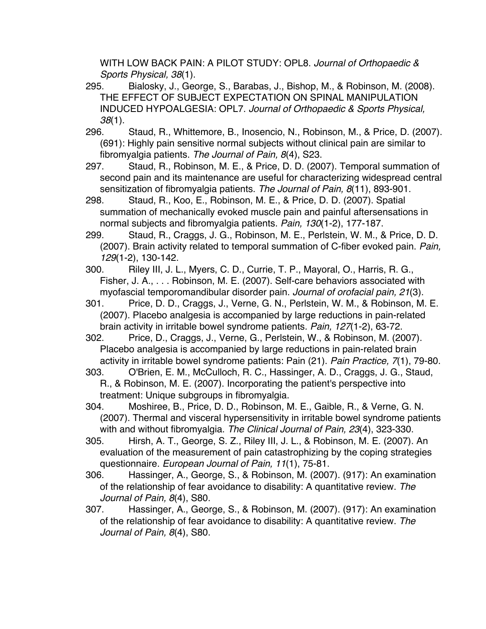WITH LOW BACK PAIN: A PILOT STUDY: OPL8. *Journal of Orthopaedic & Sports Physical, 38*(1).

- 295. Bialosky, J., George, S., Barabas, J., Bishop, M., & Robinson, M. (2008). THE EFFECT OF SUBJECT EXPECTATION ON SPINAL MANIPULATION INDUCED HYPOALGESIA: OPL7. *Journal of Orthopaedic & Sports Physical, 38*(1).
- 296. Staud, R., Whittemore, B., Inosencio, N., Robinson, M., & Price, D. (2007). (691): Highly pain sensitive normal subjects without clinical pain are similar to fibromyalgia patients. *The Journal of Pain, 8*(4), S23.
- 297. Staud, R., Robinson, M. E., & Price, D. D. (2007). Temporal summation of second pain and its maintenance are useful for characterizing widespread central sensitization of fibromyalgia patients. *The Journal of Pain, 8*(11), 893-901.
- 298. Staud, R., Koo, E., Robinson, M. E., & Price, D. D. (2007). Spatial summation of mechanically evoked muscle pain and painful aftersensations in normal subjects and fibromyalgia patients. *Pain, 130*(1-2), 177-187.
- 299. Staud, R., Craggs, J. G., Robinson, M. E., Perlstein, W. M., & Price, D. D. (2007). Brain activity related to temporal summation of C-fiber evoked pain. *Pain, 129*(1-2), 130-142.
- 300. Riley III, J. L., Myers, C. D., Currie, T. P., Mayoral, O., Harris, R. G., Fisher, J. A., . . . Robinson, M. E. (2007). Self-care behaviors associated with myofascial temporomandibular disorder pain. *Journal of orofacial pain, 21*(3).
- 301. Price, D. D., Craggs, J., Verne, G. N., Perlstein, W. M., & Robinson, M. E. (2007). Placebo analgesia is accompanied by large reductions in pain-related brain activity in irritable bowel syndrome patients. *Pain, 127*(1-2), 63-72.
- 302. Price, D., Craggs, J., Verne, G., Perlstein, W., & Robinson, M. (2007). Placebo analgesia is accompanied by large reductions in pain-related brain activity in irritable bowel syndrome patients: Pain (21). *Pain Practice, 7*(1), 79-80.
- 303. O'Brien, E. M., McCulloch, R. C., Hassinger, A. D., Craggs, J. G., Staud, R., & Robinson, M. E. (2007). Incorporating the patient's perspective into treatment: Unique subgroups in fibromyalgia.
- 304. Moshiree, B., Price, D. D., Robinson, M. E., Gaible, R., & Verne, G. N. (2007). Thermal and visceral hypersensitivity in irritable bowel syndrome patients with and without fibromyalgia. *The Clinical Journal of Pain, 23*(4), 323-330.
- 305. Hirsh, A. T., George, S. Z., Riley III, J. L., & Robinson, M. E. (2007). An evaluation of the measurement of pain catastrophizing by the coping strategies questionnaire. *European Journal of Pain, 11*(1), 75-81.
- 306. Hassinger, A., George, S., & Robinson, M. (2007). (917): An examination of the relationship of fear avoidance to disability: A quantitative review. *The Journal of Pain, 8*(4), S80.
- 307. Hassinger, A., George, S., & Robinson, M. (2007). (917): An examination of the relationship of fear avoidance to disability: A quantitative review. *The Journal of Pain, 8*(4), S80.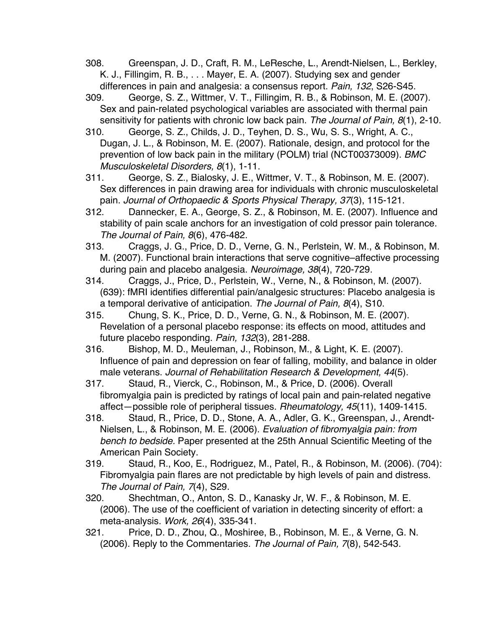- 308. Greenspan, J. D., Craft, R. M., LeResche, L., Arendt-Nielsen, L., Berkley, K. J., Fillingim, R. B., . . . Mayer, E. A. (2007). Studying sex and gender differences in pain and analgesia: a consensus report. *Pain, 132*, S26-S45.
- 309. George, S. Z., Wittmer, V. T., Fillingim, R. B., & Robinson, M. E. (2007). Sex and pain-related psychological variables are associated with thermal pain sensitivity for patients with chronic low back pain. *The Journal of Pain, 8*(1), 2-10.
- 310. George, S. Z., Childs, J. D., Teyhen, D. S., Wu, S. S., Wright, A. C., Dugan, J. L., & Robinson, M. E. (2007). Rationale, design, and protocol for the prevention of low back pain in the military (POLM) trial (NCT00373009). *BMC Musculoskeletal Disorders, 8*(1), 1-11.
- 311. George, S. Z., Bialosky, J. E., Wittmer, V. T., & Robinson, M. E. (2007). Sex differences in pain drawing area for individuals with chronic musculoskeletal pain. *Journal of Orthopaedic & Sports Physical Therapy, 37*(3), 115-121.
- 312. Dannecker, E. A., George, S. Z., & Robinson, M. E. (2007). Influence and stability of pain scale anchors for an investigation of cold pressor pain tolerance. *The Journal of Pain, 8*(6), 476-482.
- 313. Craggs, J. G., Price, D. D., Verne, G. N., Perlstein, W. M., & Robinson, M. M. (2007). Functional brain interactions that serve cognitive–affective processing during pain and placebo analgesia. *Neuroimage, 38*(4), 720-729.
- 314. Craggs, J., Price, D., Perlstein, W., Verne, N., & Robinson, M. (2007). (639): fMRI identifies differential pain/analgesic structures: Placebo analgesia is a temporal derivative of anticipation. *The Journal of Pain, 8*(4), S10.
- 315. Chung, S. K., Price, D. D., Verne, G. N., & Robinson, M. E. (2007). Revelation of a personal placebo response: its effects on mood, attitudes and future placebo responding. *Pain, 132*(3), 281-288.
- 316. Bishop, M. D., Meuleman, J., Robinson, M., & Light, K. E. (2007). Influence of pain and depression on fear of falling, mobility, and balance in older male veterans. *Journal of Rehabilitation Research & Development, 44*(5).
- 317. Staud, R., Vierck, C., Robinson, M., & Price, D. (2006). Overall fibromyalgia pain is predicted by ratings of local pain and pain-related negative affect—possible role of peripheral tissues. *Rheumatology, 45*(11), 1409-1415.
- 318. Staud, R., Price, D. D., Stone, A. A., Adler, G. K., Greenspan, J., Arendt-Nielsen, L., & Robinson, M. E. (2006). *Evaluation of fibromyalgia pain: from bench to bedside.* Paper presented at the 25th Annual Scientific Meeting of the American Pain Society.
- 319. Staud, R., Koo, E., Rodriguez, M., Patel, R., & Robinson, M. (2006). (704): Fibromyalgia pain flares are not predictable by high levels of pain and distress. *The Journal of Pain, 7*(4), S29.
- 320. Shechtman, O., Anton, S. D., Kanasky Jr, W. F., & Robinson, M. E. (2006). The use of the coefficient of variation in detecting sincerity of effort: a meta-analysis. *Work, 26*(4), 335-341.
- 321. Price, D. D., Zhou, Q., Moshiree, B., Robinson, M. E., & Verne, G. N. (2006). Reply to the Commentaries. *The Journal of Pain, 7*(8), 542-543.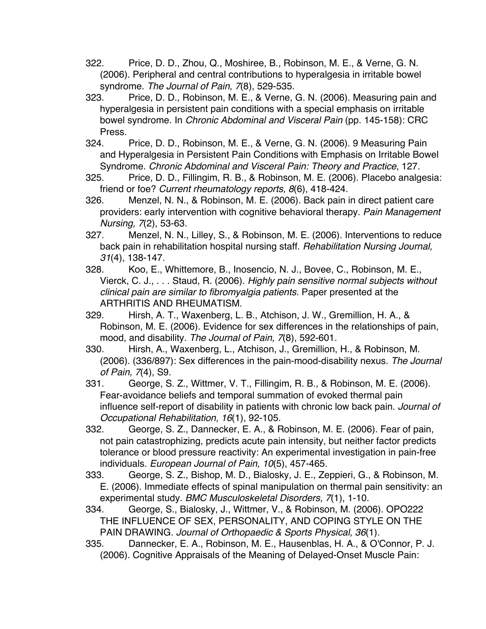- 322. Price, D. D., Zhou, Q., Moshiree, B., Robinson, M. E., & Verne, G. N. (2006). Peripheral and central contributions to hyperalgesia in irritable bowel syndrome. *The Journal of Pain, 7*(8), 529-535.
- 323. Price, D. D., Robinson, M. E., & Verne, G. N. (2006). Measuring pain and hyperalgesia in persistent pain conditions with a special emphasis on irritable bowel syndrome. In *Chronic Abdominal and Visceral Pain* (pp. 145-158): CRC Press.
- 324. Price, D. D., Robinson, M. E., & Verne, G. N. (2006). 9 Measuring Pain and Hyperalgesia in Persistent Pain Conditions with Emphasis on Irritable Bowel Syndrome. *Chronic Abdominal and Visceral Pain: Theory and Practice*, 127.
- 325. Price, D. D., Fillingim, R. B., & Robinson, M. E. (2006). Placebo analgesia: friend or foe? *Current rheumatology reports, 8*(6), 418-424.
- 326. Menzel, N. N., & Robinson, M. E. (2006). Back pain in direct patient care providers: early intervention with cognitive behavioral therapy. *Pain Management Nursing, 7*(2), 53-63.
- 327. Menzel, N. N., Lilley, S., & Robinson, M. E. (2006). Interventions to reduce back pain in rehabilitation hospital nursing staff. *Rehabilitation Nursing Journal, 31*(4), 138-147.
- 328. Koo, E., Whittemore, B., Inosencio, N. J., Bovee, C., Robinson, M. E., Vierck, C. J., . . . Staud, R. (2006). *Highly pain sensitive normal subjects without clinical pain are similar to fibromyalgia patients.* Paper presented at the ARTHRITIS AND RHEUMATISM.
- 329. Hirsh, A. T., Waxenberg, L. B., Atchison, J. W., Gremillion, H. A., & Robinson, M. E. (2006). Evidence for sex differences in the relationships of pain, mood, and disability. *The Journal of Pain, 7*(8), 592-601.
- 330. Hirsh, A., Waxenberg, L., Atchison, J., Gremillion, H., & Robinson, M. (2006). (336/897): Sex differences in the pain-mood-disability nexus. *The Journal of Pain, 7*(4), S9.
- 331. George, S. Z., Wittmer, V. T., Fillingim, R. B., & Robinson, M. E. (2006). Fear-avoidance beliefs and temporal summation of evoked thermal pain influence self-report of disability in patients with chronic low back pain. *Journal of Occupational Rehabilitation, 16*(1), 92-105.
- 332. George, S. Z., Dannecker, E. A., & Robinson, M. E. (2006). Fear of pain, not pain catastrophizing, predicts acute pain intensity, but neither factor predicts tolerance or blood pressure reactivity: An experimental investigation in pain-free individuals. *European Journal of Pain, 10*(5), 457-465.
- 333. George, S. Z., Bishop, M. D., Bialosky, J. E., Zeppieri, G., & Robinson, M. E. (2006). Immediate effects of spinal manipulation on thermal pain sensitivity: an experimental study. *BMC Musculoskeletal Disorders, 7*(1), 1-10.
- 334. George, S., Bialosky, J., Wittmer, V., & Robinson, M. (2006). OPO222 THE INFLUENCE OF SEX, PERSONALITY, AND COPING STYLE ON THE PAIN DRAWING. *Journal of Orthopaedic & Sports Physical, 36*(1).
- 335. Dannecker, E. A., Robinson, M. E., Hausenblas, H. A., & O'Connor, P. J. (2006). Cognitive Appraisals of the Meaning of Delayed-Onset Muscle Pain: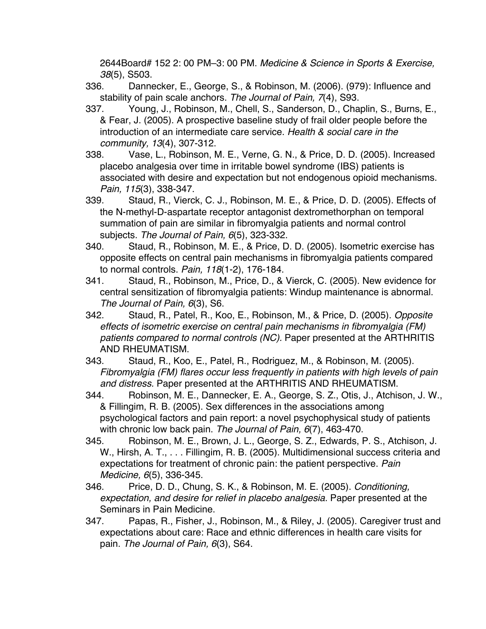2644Board# 152 2: 00 PM–3: 00 PM. *Medicine & Science in Sports & Exercise, 38*(5), S503.

- 336. Dannecker, E., George, S., & Robinson, M. (2006). (979): Influence and stability of pain scale anchors. *The Journal of Pain, 7*(4), S93.
- 337. Young, J., Robinson, M., Chell, S., Sanderson, D., Chaplin, S., Burns, E., & Fear, J. (2005). A prospective baseline study of frail older people before the introduction of an intermediate care service. *Health & social care in the community, 13*(4), 307-312.
- 338. Vase, L., Robinson, M. E., Verne, G. N., & Price, D. D. (2005). Increased placebo analgesia over time in irritable bowel syndrome (IBS) patients is associated with desire and expectation but not endogenous opioid mechanisms. *Pain, 115*(3), 338-347.
- 339. Staud, R., Vierck, C. J., Robinson, M. E., & Price, D. D. (2005). Effects of the N-methyl-D-aspartate receptor antagonist dextromethorphan on temporal summation of pain are similar in fibromyalgia patients and normal control subjects. *The Journal of Pain, 6*(5), 323-332.
- 340. Staud, R., Robinson, M. E., & Price, D. D. (2005). Isometric exercise has opposite effects on central pain mechanisms in fibromyalgia patients compared to normal controls. *Pain, 118*(1-2), 176-184.
- 341. Staud, R., Robinson, M., Price, D., & Vierck, C. (2005). New evidence for central sensitization of fibromyalgia patients: Windup maintenance is abnormal. *The Journal of Pain, 6*(3), S6.
- 342. Staud, R., Patel, R., Koo, E., Robinson, M., & Price, D. (2005). *Opposite effects of isometric exercise on central pain mechanisms in fibromyalgia (FM) patients compared to normal controls (NC).* Paper presented at the ARTHRITIS AND RHEUMATISM.
- 343. Staud, R., Koo, E., Patel, R., Rodriguez, M., & Robinson, M. (2005). *Fibromyalgia (FM) flares occur less frequently in patients with high levels of pain and distress.* Paper presented at the ARTHRITIS AND RHEUMATISM.
- 344. Robinson, M. E., Dannecker, E. A., George, S. Z., Otis, J., Atchison, J. W., & Fillingim, R. B. (2005). Sex differences in the associations among psychological factors and pain report: a novel psychophysical study of patients with chronic low back pain. *The Journal of Pain, 6*(7), 463-470.
- 345. Robinson, M. E., Brown, J. L., George, S. Z., Edwards, P. S., Atchison, J. W., Hirsh, A. T., . . . Fillingim, R. B. (2005). Multidimensional success criteria and expectations for treatment of chronic pain: the patient perspective. *Pain Medicine, 6*(5), 336-345.
- 346. Price, D. D., Chung, S. K., & Robinson, M. E. (2005). *Conditioning, expectation, and desire for relief in placebo analgesia.* Paper presented at the Seminars in Pain Medicine.
- 347. Papas, R., Fisher, J., Robinson, M., & Riley, J. (2005). Caregiver trust and expectations about care: Race and ethnic differences in health care visits for pain. *The Journal of Pain, 6*(3), S64.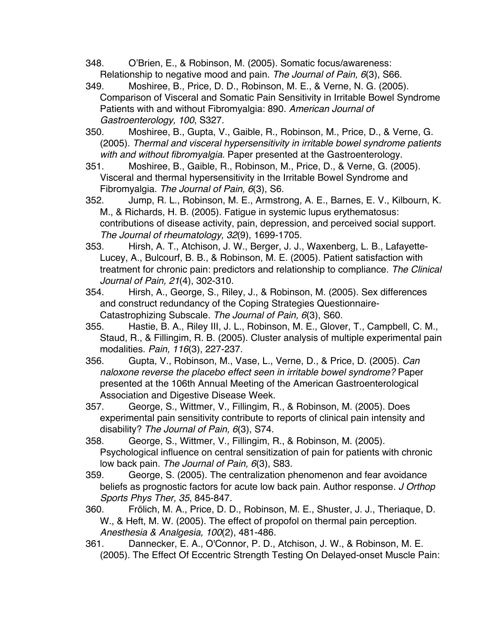- 348. O'Brien, E., & Robinson, M. (2005). Somatic focus/awareness: Relationship to negative mood and pain. *The Journal of Pain, 6*(3), S66.
- 349. Moshiree, B., Price, D. D., Robinson, M. E., & Verne, N. G. (2005). Comparison of Visceral and Somatic Pain Sensitivity in Irritable Bowel Syndrome Patients with and without Fibromyalgia: 890. *American Journal of Gastroenterology, 100*, S327.
- 350. Moshiree, B., Gupta, V., Gaible, R., Robinson, M., Price, D., & Verne, G. (2005). *Thermal and visceral hypersensitivity in irritable bowel syndrome patients with and without fibromyalgia.* Paper presented at the Gastroenterology.
- 351. Moshiree, B., Gaible, R., Robinson, M., Price, D., & Verne, G. (2005). Visceral and thermal hypersensitivity in the Irritable Bowel Syndrome and Fibromyalgia. *The Journal of Pain, 6*(3), S6.
- 352. Jump, R. L., Robinson, M. E., Armstrong, A. E., Barnes, E. V., Kilbourn, K. M., & Richards, H. B. (2005). Fatigue in systemic lupus erythematosus: contributions of disease activity, pain, depression, and perceived social support. *The Journal of rheumatology, 32*(9), 1699-1705.
- 353. Hirsh, A. T., Atchison, J. W., Berger, J. J., Waxenberg, L. B., Lafayette-Lucey, A., Bulcourf, B. B., & Robinson, M. E. (2005). Patient satisfaction with treatment for chronic pain: predictors and relationship to compliance. *The Clinical Journal of Pain, 21*(4), 302-310.
- 354. Hirsh, A., George, S., Riley, J., & Robinson, M. (2005). Sex differences and construct redundancy of the Coping Strategies Questionnaire-Catastrophizing Subscale. *The Journal of Pain, 6*(3), S60.
- 355. Hastie, B. A., Riley III, J. L., Robinson, M. E., Glover, T., Campbell, C. M., Staud, R., & Fillingim, R. B. (2005). Cluster analysis of multiple experimental pain modalities. *Pain, 116*(3), 227-237.
- 356. Gupta, V., Robinson, M., Vase, L., Verne, D., & Price, D. (2005). *Can naloxone reverse the placebo effect seen in irritable bowel syndrome?* Paper presented at the 106th Annual Meeting of the American Gastroenterological Association and Digestive Disease Week.
- 357. George, S., Wittmer, V., Fillingim, R., & Robinson, M. (2005). Does experimental pain sensitivity contribute to reports of clinical pain intensity and disability? *The Journal of Pain, 6*(3), S74.
- 358. George, S., Wittmer, V., Fillingim, R., & Robinson, M. (2005). Psychological influence on central sensitization of pain for patients with chronic low back pain. *The Journal of Pain, 6*(3), S83.
- 359. George, S. (2005). The centralization phenomenon and fear avoidance beliefs as prognostic factors for acute low back pain. Author response. *J Orthop Sports Phys Ther, 35*, 845-847.
- 360. Frölich, M. A., Price, D. D., Robinson, M. E., Shuster, J. J., Theriaque, D. W., & Heft, M. W. (2005). The effect of propofol on thermal pain perception. *Anesthesia & Analgesia, 100*(2), 481-486.
- 361. Dannecker, E. A., O'Connor, P. D., Atchison, J. W., & Robinson, M. E. (2005). The Effect Of Eccentric Strength Testing On Delayed-onset Muscle Pain: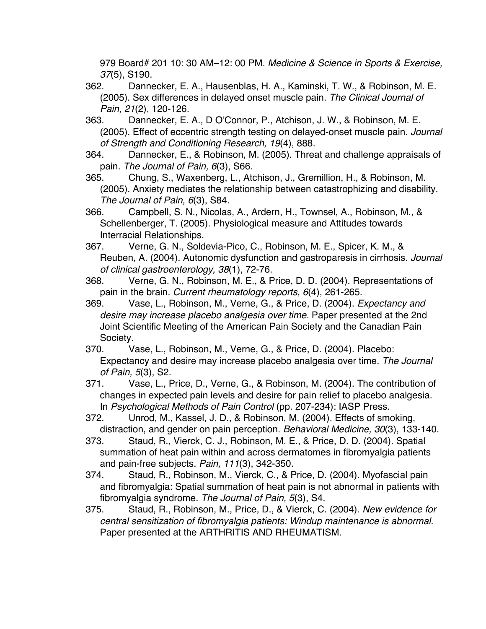979 Board# 201 10: 30 AM–12: 00 PM. *Medicine & Science in Sports & Exercise, 37*(5), S190.

362. Dannecker, E. A., Hausenblas, H. A., Kaminski, T. W., & Robinson, M. E. (2005). Sex differences in delayed onset muscle pain. *The Clinical Journal of Pain, 21*(2), 120-126.

- 363. Dannecker, E. A., D O'Connor, P., Atchison, J. W., & Robinson, M. E. (2005). Effect of eccentric strength testing on delayed-onset muscle pain. *Journal of Strength and Conditioning Research, 19*(4), 888.
- 364. Dannecker, E., & Robinson, M. (2005). Threat and challenge appraisals of pain. *The Journal of Pain, 6*(3), S66.
- 365. Chung, S., Waxenberg, L., Atchison, J., Gremillion, H., & Robinson, M. (2005). Anxiety mediates the relationship between catastrophizing and disability. *The Journal of Pain, 6*(3), S84.
- 366. Campbell, S. N., Nicolas, A., Ardern, H., Townsel, A., Robinson, M., & Schellenberger, T. (2005). Physiological measure and Attitudes towards Interracial Relationships.
- 367. Verne, G. N., Soldevia-Pico, C., Robinson, M. E., Spicer, K. M., & Reuben, A. (2004). Autonomic dysfunction and gastroparesis in cirrhosis. *Journal of clinical gastroenterology, 38*(1), 72-76.
- 368. Verne, G. N., Robinson, M. E., & Price, D. D. (2004). Representations of pain in the brain. *Current rheumatology reports, 6*(4), 261-265.
- 369. Vase, L., Robinson, M., Verne, G., & Price, D. (2004). *Expectancy and desire may increase placebo analgesia over time.* Paper presented at the 2nd Joint Scientific Meeting of the American Pain Society and the Canadian Pain Society.
- 370. Vase, L., Robinson, M., Verne, G., & Price, D. (2004). Placebo: Expectancy and desire may increase placebo analgesia over time. *The Journal of Pain, 5*(3), S2.
- 371. Vase, L., Price, D., Verne, G., & Robinson, M. (2004). The contribution of changes in expected pain levels and desire for pain relief to placebo analgesia. In *Psychological Methods of Pain Control* (pp. 207-234): IASP Press.
- 372. Unrod, M., Kassel, J. D., & Robinson, M. (2004). Effects of smoking, distraction, and gender on pain perception. *Behavioral Medicine, 30*(3), 133-140.
- 373. Staud, R., Vierck, C. J., Robinson, M. E., & Price, D. D. (2004). Spatial summation of heat pain within and across dermatomes in fibromyalgia patients and pain-free subjects. *Pain, 111*(3), 342-350.
- 374. Staud, R., Robinson, M., Vierck, C., & Price, D. (2004). Myofascial pain and fibromyalgia: Spatial summation of heat pain is not abnormal in patients with fibromyalgia syndrome. *The Journal of Pain, 5*(3), S4.
- 375. Staud, R., Robinson, M., Price, D., & Vierck, C. (2004). *New evidence for central sensitization of fibromyalgia patients: Windup maintenance is abnormal.* Paper presented at the ARTHRITIS AND RHEUMATISM.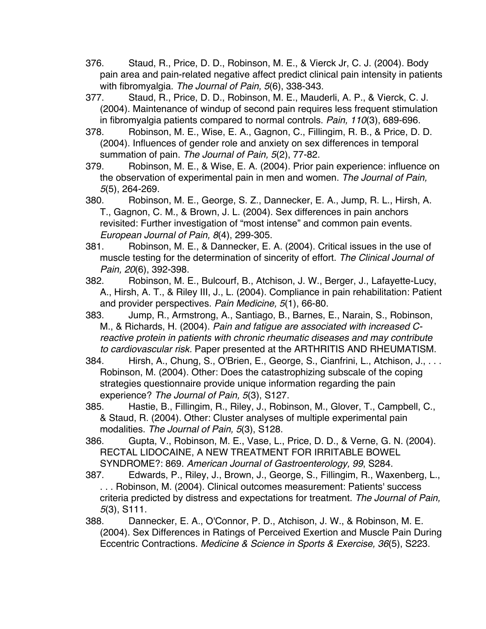- 376. Staud, R., Price, D. D., Robinson, M. E., & Vierck Jr, C. J. (2004). Body pain area and pain-related negative affect predict clinical pain intensity in patients with fibromyalgia. *The Journal of Pain, 5*(6), 338-343.
- 377. Staud, R., Price, D. D., Robinson, M. E., Mauderli, A. P., & Vierck, C. J. (2004). Maintenance of windup of second pain requires less frequent stimulation in fibromyalgia patients compared to normal controls. *Pain, 110*(3), 689-696.
- 378. Robinson, M. E., Wise, E. A., Gagnon, C., Fillingim, R. B., & Price, D. D. (2004). Influences of gender role and anxiety on sex differences in temporal summation of pain. *The Journal of Pain, 5*(2), 77-82.
- 379. Robinson, M. E., & Wise, E. A. (2004). Prior pain experience: influence on the observation of experimental pain in men and women. *The Journal of Pain, 5*(5), 264-269.
- 380. Robinson, M. E., George, S. Z., Dannecker, E. A., Jump, R. L., Hirsh, A. T., Gagnon, C. M., & Brown, J. L. (2004). Sex differences in pain anchors revisited: Further investigation of "most intense" and common pain events. *European Journal of Pain, 8*(4), 299-305.
- 381. Robinson, M. E., & Dannecker, E. A. (2004). Critical issues in the use of muscle testing for the determination of sincerity of effort. *The Clinical Journal of Pain, 20*(6), 392-398.
- 382. Robinson, M. E., Bulcourf, B., Atchison, J. W., Berger, J., Lafayette-Lucy, A., Hirsh, A. T., & Riley III, J., L. (2004). Compliance in pain rehabilitation: Patient and provider perspectives. *Pain Medicine, 5*(1), 66-80.
- 383. Jump, R., Armstrong, A., Santiago, B., Barnes, E., Narain, S., Robinson, M., & Richards, H. (2004). *Pain and fatigue are associated with increased Creactive protein in patients with chronic rheumatic diseases and may contribute to cardiovascular risk.* Paper presented at the ARTHRITIS AND RHEUMATISM.
- 384. Hirsh, A., Chung, S., O'Brien, E., George, S., Cianfrini, L., Atchison, J., . . . Robinson, M. (2004). Other: Does the catastrophizing subscale of the coping strategies questionnaire provide unique information regarding the pain experience? *The Journal of Pain, 5*(3), S127.
- 385. Hastie, B., Fillingim, R., Riley, J., Robinson, M., Glover, T., Campbell, C., & Staud, R. (2004). Other: Cluster analyses of multiple experimental pain modalities. *The Journal of Pain, 5*(3), S128.
- 386. Gupta, V., Robinson, M. E., Vase, L., Price, D. D., & Verne, G. N. (2004). RECTAL LIDOCAINE, A NEW TREATMENT FOR IRRITABLE BOWEL SYNDROME?: 869. *American Journal of Gastroenterology, 99*, S284.
- 387. Edwards, P., Riley, J., Brown, J., George, S., Fillingim, R., Waxenberg, L., . . . Robinson, M. (2004). Clinical outcomes measurement: Patients' success criteria predicted by distress and expectations for treatment. *The Journal of Pain, 5*(3), S111.
- 388. Dannecker, E. A., O'Connor, P. D., Atchison, J. W., & Robinson, M. E. (2004). Sex Differences in Ratings of Perceived Exertion and Muscle Pain During Eccentric Contractions. *Medicine & Science in Sports & Exercise, 36*(5), S223.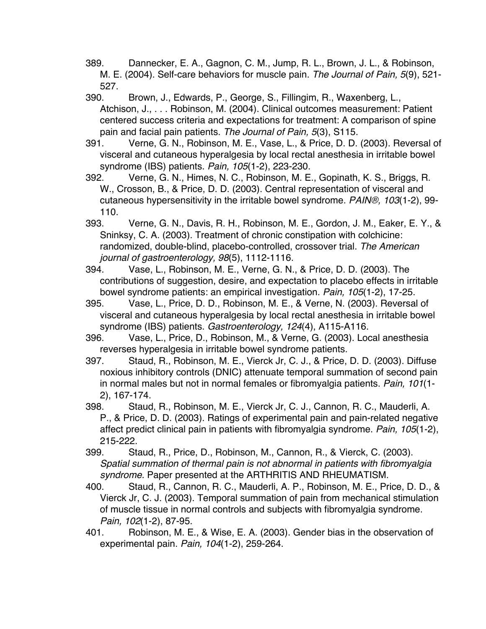389. Dannecker, E. A., Gagnon, C. M., Jump, R. L., Brown, J. L., & Robinson, M. E. (2004). Self-care behaviors for muscle pain. *The Journal of Pain, 5*(9), 521- 527.

390. Brown, J., Edwards, P., George, S., Fillingim, R., Waxenberg, L., Atchison, J., . . . Robinson, M. (2004). Clinical outcomes measurement: Patient centered success criteria and expectations for treatment: A comparison of spine pain and facial pain patients. *The Journal of Pain, 5*(3), S115.

391. Verne, G. N., Robinson, M. E., Vase, L., & Price, D. D. (2003). Reversal of visceral and cutaneous hyperalgesia by local rectal anesthesia in irritable bowel syndrome (IBS) patients. *Pain, 105*(1-2), 223-230.

392. Verne, G. N., Himes, N. C., Robinson, M. E., Gopinath, K. S., Briggs, R. W., Crosson, B., & Price, D. D. (2003). Central representation of visceral and cutaneous hypersensitivity in the irritable bowel syndrome. *PAIN®, 103*(1-2), 99- 110.

393. Verne, G. N., Davis, R. H., Robinson, M. E., Gordon, J. M., Eaker, E. Y., & Sninksy, C. A. (2003). Treatment of chronic constipation with colchicine: randomized, double-blind, placebo-controlled, crossover trial. *The American journal of gastroenterology, 98*(5), 1112-1116.

394. Vase, L., Robinson, M. E., Verne, G. N., & Price, D. D. (2003). The contributions of suggestion, desire, and expectation to placebo effects in irritable bowel syndrome patients: an empirical investigation. *Pain, 105*(1-2), 17-25.

395. Vase, L., Price, D. D., Robinson, M. E., & Verne, N. (2003). Reversal of visceral and cutaneous hyperalgesia by local rectal anesthesia in irritable bowel syndrome (IBS) patients. *Gastroenterology, 124*(4), A115-A116.

396. Vase, L., Price, D., Robinson, M., & Verne, G. (2003). Local anesthesia reverses hyperalgesia in irritable bowel syndrome patients.

397. Staud, R., Robinson, M. E., Vierck Jr, C. J., & Price, D. D. (2003). Diffuse noxious inhibitory controls (DNIC) attenuate temporal summation of second pain in normal males but not in normal females or fibromyalgia patients. *Pain, 101*(1- 2), 167-174.

398. Staud, R., Robinson, M. E., Vierck Jr, C. J., Cannon, R. C., Mauderli, A. P., & Price, D. D. (2003). Ratings of experimental pain and pain-related negative affect predict clinical pain in patients with fibromyalgia syndrome. *Pain, 105*(1-2), 215-222.

399. Staud, R., Price, D., Robinson, M., Cannon, R., & Vierck, C. (2003). *Spatial summation of thermal pain is not abnormal in patients with fibromyalgia syndrome.* Paper presented at the ARTHRITIS AND RHEUMATISM.

400. Staud, R., Cannon, R. C., Mauderli, A. P., Robinson, M. E., Price, D. D., & Vierck Jr, C. J. (2003). Temporal summation of pain from mechanical stimulation of muscle tissue in normal controls and subjects with fibromyalgia syndrome. *Pain, 102*(1-2), 87-95.

401. Robinson, M. E., & Wise, E. A. (2003). Gender bias in the observation of experimental pain. *Pain, 104*(1-2), 259-264.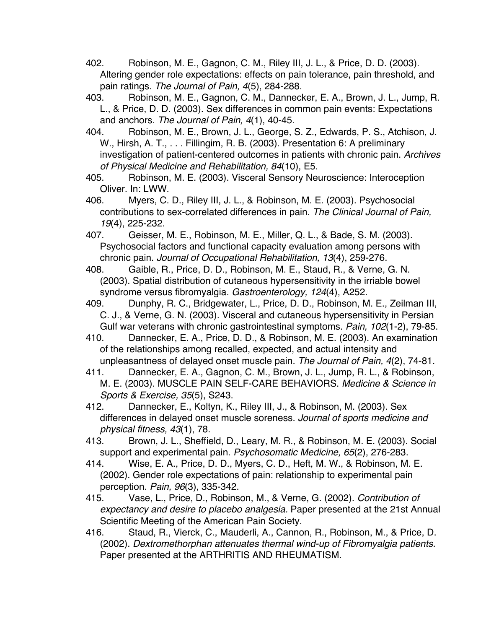- 402. Robinson, M. E., Gagnon, C. M., Riley III, J. L., & Price, D. D. (2003). Altering gender role expectations: effects on pain tolerance, pain threshold, and pain ratings. *The Journal of Pain, 4*(5), 284-288.
- 403. Robinson, M. E., Gagnon, C. M., Dannecker, E. A., Brown, J. L., Jump, R. L., & Price, D. D. (2003). Sex differences in common pain events: Expectations and anchors. *The Journal of Pain, 4*(1), 40-45.
- 404. Robinson, M. E., Brown, J. L., George, S. Z., Edwards, P. S., Atchison, J. W., Hirsh, A. T., . . . Fillingim, R. B. (2003). Presentation 6: A preliminary investigation of patient-centered outcomes in patients with chronic pain. *Archives of Physical Medicine and Rehabilitation, 84*(10), E5.
- 405. Robinson, M. E. (2003). Visceral Sensory Neuroscience: Interoception Oliver. In: LWW.
- 406. Myers, C. D., Riley III, J. L., & Robinson, M. E. (2003). Psychosocial contributions to sex-correlated differences in pain. *The Clinical Journal of Pain, 19*(4), 225-232.
- 407. Geisser, M. E., Robinson, M. E., Miller, Q. L., & Bade, S. M. (2003). Psychosocial factors and functional capacity evaluation among persons with chronic pain. *Journal of Occupational Rehabilitation, 13*(4), 259-276.
- 408. Gaible, R., Price, D. D., Robinson, M. E., Staud, R., & Verne, G. N. (2003). Spatial distribution of cutaneous hypersensitivity in the irriable bowel syndrome versus fibromyalgia. *Gastroenterology, 124*(4), A252.
- 409. Dunphy, R. C., Bridgewater, L., Price, D. D., Robinson, M. E., Zeilman III, C. J., & Verne, G. N. (2003). Visceral and cutaneous hypersensitivity in Persian Gulf war veterans with chronic gastrointestinal symptoms. *Pain, 102*(1-2), 79-85.
- 410. Dannecker, E. A., Price, D. D., & Robinson, M. E. (2003). An examination of the relationships among recalled, expected, and actual intensity and unpleasantness of delayed onset muscle pain. *The Journal of Pain, 4*(2), 74-81.
- 411. Dannecker, E. A., Gagnon, C. M., Brown, J. L., Jump, R. L., & Robinson, M. E. (2003). MUSCLE PAIN SELF-CARE BEHAVIORS. *Medicine & Science in Sports & Exercise, 35*(5), S243.
- 412. Dannecker, E., Koltyn, K., Riley III, J., & Robinson, M. (2003). Sex differences in delayed onset muscle soreness. *Journal of sports medicine and physical fitness, 43*(1), 78.
- 413. Brown, J. L., Sheffield, D., Leary, M. R., & Robinson, M. E. (2003). Social support and experimental pain. *Psychosomatic Medicine, 65*(2), 276-283.
- 414. Wise, E. A., Price, D. D., Myers, C. D., Heft, M. W., & Robinson, M. E. (2002). Gender role expectations of pain: relationship to experimental pain perception. *Pain, 96*(3), 335-342.
- 415. Vase, L., Price, D., Robinson, M., & Verne, G. (2002). *Contribution of expectancy and desire to placebo analgesia.* Paper presented at the 21st Annual Scientific Meeting of the American Pain Society.
- 416. Staud, R., Vierck, C., Mauderli, A., Cannon, R., Robinson, M., & Price, D. (2002). *Dextromethorphan attenuates thermal wind-up of Fibromyalgia patients.* Paper presented at the ARTHRITIS AND RHEUMATISM.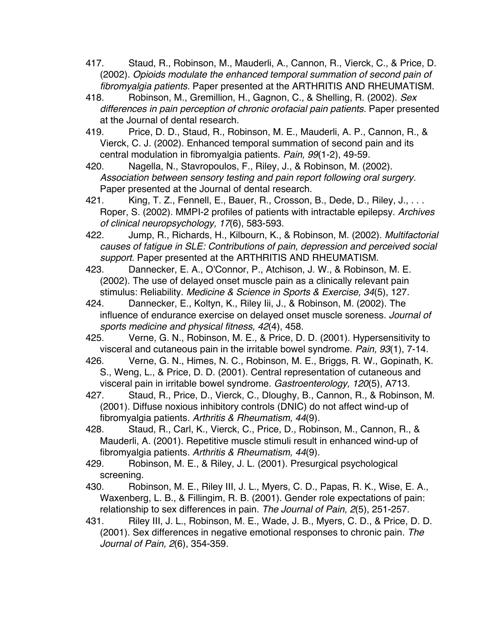- 417. Staud, R., Robinson, M., Mauderli, A., Cannon, R., Vierck, C., & Price, D. (2002). *Opioids modulate the enhanced temporal summation of second pain of fibromyalgia patients.* Paper presented at the ARTHRITIS AND RHEUMATISM.
- 418. Robinson, M., Gremillion, H., Gagnon, C., & Shelling, R. (2002). *Sex differences in pain perception of chronic orofacial pain patients.* Paper presented at the Journal of dental research.
- 419. Price, D. D., Staud, R., Robinson, M. E., Mauderli, A. P., Cannon, R., & Vierck, C. J. (2002). Enhanced temporal summation of second pain and its central modulation in fibromyalgia patients. *Pain, 99*(1-2), 49-59.
- 420. Nagella, N., Stavropoulos, F., Riley, J., & Robinson, M. (2002). *Association between sensory testing and pain report following oral surgery.* Paper presented at the Journal of dental research.
- 421. King, T. Z., Fennell, E., Bauer, R., Crosson, B., Dede, D., Riley, J., ... Roper, S. (2002). MMPI-2 profiles of patients with intractable epilepsy. *Archives of clinical neuropsychology, 17*(6), 583-593.
- 422. Jump, R., Richards, H., Kilbourn, K., & Robinson, M. (2002). *Multifactorial causes of fatigue in SLE: Contributions of pain, depression and perceived social support.* Paper presented at the ARTHRITIS AND RHEUMATISM.
- 423. Dannecker, E. A., O'Connor, P., Atchison, J. W., & Robinson, M. E. (2002). The use of delayed onset muscle pain as a clinically relevant pain stimulus: Reliability. *Medicine & Science in Sports & Exercise, 34*(5), 127.
- 424. Dannecker, E., Koltyn, K., Riley Iii, J., & Robinson, M. (2002). The influence of endurance exercise on delayed onset muscle soreness. *Journal of sports medicine and physical fitness, 42*(4), 458.
- 425. Verne, G. N., Robinson, M. E., & Price, D. D. (2001). Hypersensitivity to visceral and cutaneous pain in the irritable bowel syndrome. *Pain, 93*(1), 7-14.
- 426. Verne, G. N., Himes, N. C., Robinson, M. E., Briggs, R. W., Gopinath, K. S., Weng, L., & Price, D. D. (2001). Central representation of cutaneous and visceral pain in irritable bowel syndrome. *Gastroenterology, 120*(5), A713.
- 427. Staud, R., Price, D., Vierck, C., Dloughy, B., Cannon, R., & Robinson, M. (2001). Diffuse noxious inhibitory controls (DNIC) do not affect wind-up of fibromyalgia patients. *Arthritis & Rheumatism, 44*(9).
- 428. Staud, R., Carl, K., Vierck, C., Price, D., Robinson, M., Cannon, R., & Mauderli, A. (2001). Repetitive muscle stimuli result in enhanced wind-up of fibromyalgia patients. *Arthritis & Rheumatism, 44*(9).
- 429. Robinson, M. E., & Riley, J. L. (2001). Presurgical psychological screening.
- 430. Robinson, M. E., Riley III, J. L., Myers, C. D., Papas, R. K., Wise, E. A., Waxenberg, L. B., & Fillingim, R. B. (2001). Gender role expectations of pain: relationship to sex differences in pain. *The Journal of Pain, 2*(5), 251-257.
- 431. Riley III, J. L., Robinson, M. E., Wade, J. B., Myers, C. D., & Price, D. D. (2001). Sex differences in negative emotional responses to chronic pain. *The Journal of Pain, 2*(6), 354-359.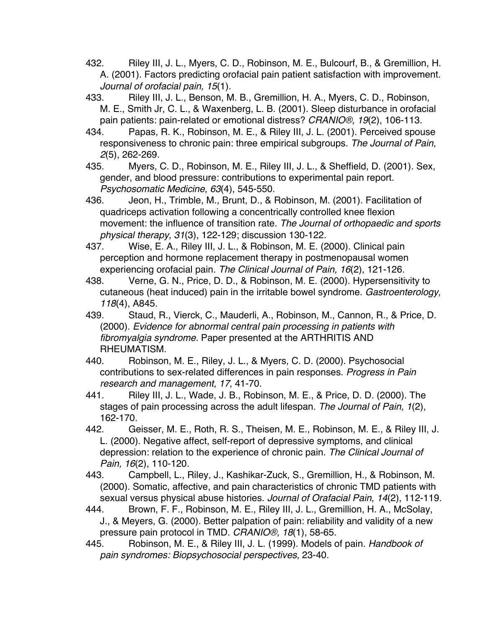- 432. Riley III, J. L., Myers, C. D., Robinson, M. E., Bulcourf, B., & Gremillion, H. A. (2001). Factors predicting orofacial pain patient satisfaction with improvement. *Journal of orofacial pain, 15*(1).
- 433. Riley III, J. L., Benson, M. B., Gremillion, H. A., Myers, C. D., Robinson, M. E., Smith Jr, C. L., & Waxenberg, L. B. (2001). Sleep disturbance in orofacial pain patients: pain-related or emotional distress? *CRANIO®, 19*(2), 106-113.
- 434. Papas, R. K., Robinson, M. E., & Riley III, J. L. (2001). Perceived spouse responsiveness to chronic pain: three empirical subgroups. *The Journal of Pain, 2*(5), 262-269.
- 435. Myers, C. D., Robinson, M. E., Riley III, J. L., & Sheffield, D. (2001). Sex, gender, and blood pressure: contributions to experimental pain report. *Psychosomatic Medicine, 63*(4), 545-550.
- 436. Jeon, H., Trimble, M., Brunt, D., & Robinson, M. (2001). Facilitation of quadriceps activation following a concentrically controlled knee flexion movement: the influence of transition rate. *The Journal of orthopaedic and sports physical therapy, 31*(3), 122-129; discussion 130-122.
- 437. Wise, E. A., Riley III, J. L., & Robinson, M. E. (2000). Clinical pain perception and hormone replacement therapy in postmenopausal women experiencing orofacial pain. *The Clinical Journal of Pain, 16*(2), 121-126.
- 438. Verne, G. N., Price, D. D., & Robinson, M. E. (2000). Hypersensitivity to cutaneous (heat induced) pain in the irritable bowel syndrome. *Gastroenterology, 118*(4), A845.
- 439. Staud, R., Vierck, C., Mauderli, A., Robinson, M., Cannon, R., & Price, D. (2000). *Evidence for abnormal central pain processing in patients with fibromyalgia syndrome.* Paper presented at the ARTHRITIS AND RHEUMATISM.
- 440. Robinson, M. E., Riley, J. L., & Myers, C. D. (2000). Psychosocial contributions to sex-related differences in pain responses. *Progress in Pain research and management, 17*, 41-70.
- 441. Riley III, J. L., Wade, J. B., Robinson, M. E., & Price, D. D. (2000). The stages of pain processing across the adult lifespan. *The Journal of Pain, 1*(2), 162-170.
- 442. Geisser, M. E., Roth, R. S., Theisen, M. E., Robinson, M. E., & Riley III, J. L. (2000). Negative affect, self-report of depressive symptoms, and clinical depression: relation to the experience of chronic pain. *The Clinical Journal of Pain, 16*(2), 110-120.
- 443. Campbell, L., Riley, J., Kashikar-Zuck, S., Gremillion, H., & Robinson, M. (2000). Somatic, affective, and pain characteristics of chronic TMD patients with sexual versus physical abuse histories. *Journal of Orafacial Pain, 14*(2), 112-119.
- 444. Brown, F. F., Robinson, M. E., Riley III, J. L., Gremillion, H. A., McSolay, J., & Meyers, G. (2000). Better palpation of pain: reliability and validity of a new pressure pain protocol in TMD. *CRANIO®, 18*(1), 58-65.
- 445. Robinson, M. E., & Riley III, J. L. (1999). Models of pain. *Handbook of pain syndromes: Biopsychosocial perspectives*, 23-40.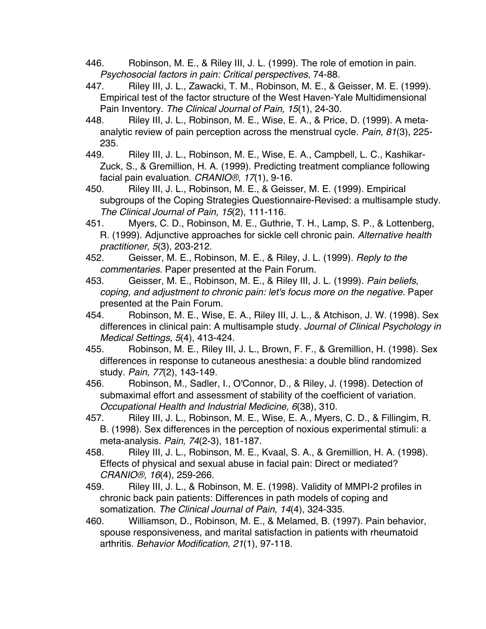- 446. Robinson, M. E., & Riley III, J. L. (1999). The role of emotion in pain. *Psychosocial factors in pain: Critical perspectives*, 74-88.
- 447. Riley III, J. L., Zawacki, T. M., Robinson, M. E., & Geisser, M. E. (1999). Empirical test of the factor structure of the West Haven-Yale Multidimensional Pain Inventory. *The Clinical Journal of Pain, 15*(1), 24-30.
- 448. Riley III, J. L., Robinson, M. E., Wise, E. A., & Price, D. (1999). A metaanalytic review of pain perception across the menstrual cycle. *Pain, 81*(3), 225- 235.
- 449. Riley III, J. L., Robinson, M. E., Wise, E. A., Campbell, L. C., Kashikar-Zuck, S., & Gremillion, H. A. (1999). Predicting treatment compliance following facial pain evaluation. *CRANIO®, 17*(1), 9-16.
- 450. Riley III, J. L., Robinson, M. E., & Geisser, M. E. (1999). Empirical subgroups of the Coping Strategies Questionnaire-Revised: a multisample study. *The Clinical Journal of Pain, 15*(2), 111-116.
- 451. Myers, C. D., Robinson, M. E., Guthrie, T. H., Lamp, S. P., & Lottenberg, R. (1999). Adjunctive approaches for sickle cell chronic pain. *Alternative health practitioner, 5*(3), 203-212.
- 452. Geisser, M. E., Robinson, M. E., & Riley, J. L. (1999). *Reply to the commentaries.* Paper presented at the Pain Forum.
- 453. Geisser, M. E., Robinson, M. E., & Riley III, J. L. (1999). *Pain beliefs, coping, and adjustment to chronic pain: let's focus more on the negative.* Paper presented at the Pain Forum.
- 454. Robinson, M. E., Wise, E. A., Riley III, J. L., & Atchison, J. W. (1998). Sex differences in clinical pain: A multisample study. *Journal of Clinical Psychology in Medical Settings, 5*(4), 413-424.
- 455. Robinson, M. E., Riley III, J. L., Brown, F. F., & Gremillion, H. (1998). Sex differences in response to cutaneous anesthesia: a double blind randomized study. *Pain, 77*(2), 143-149.
- 456. Robinson, M., Sadler, I., O'Connor, D., & Riley, J. (1998). Detection of submaximal effort and assessment of stability of the coefficient of variation. *Occupational Health and Industrial Medicine, 6*(38), 310.
- 457. Riley III, J. L., Robinson, M. E., Wise, E. A., Myers, C. D., & Fillingim, R. B. (1998). Sex differences in the perception of noxious experimental stimuli: a meta-analysis. *Pain, 74*(2-3), 181-187.
- 458. Riley III, J. L., Robinson, M. E., Kvaal, S. A., & Gremillion, H. A. (1998). Effects of physical and sexual abuse in facial pain: Direct or mediated? *CRANIO®, 16*(4), 259-266.
- 459. Riley III, J. L., & Robinson, M. E. (1998). Validity of MMPI-2 profiles in chronic back pain patients: Differences in path models of coping and somatization. *The Clinical Journal of Pain, 14*(4), 324-335.
- 460. Williamson, D., Robinson, M. E., & Melamed, B. (1997). Pain behavior, spouse responsiveness, and marital satisfaction in patients with rheumatoid arthritis. *Behavior Modification, 21*(1), 97-118.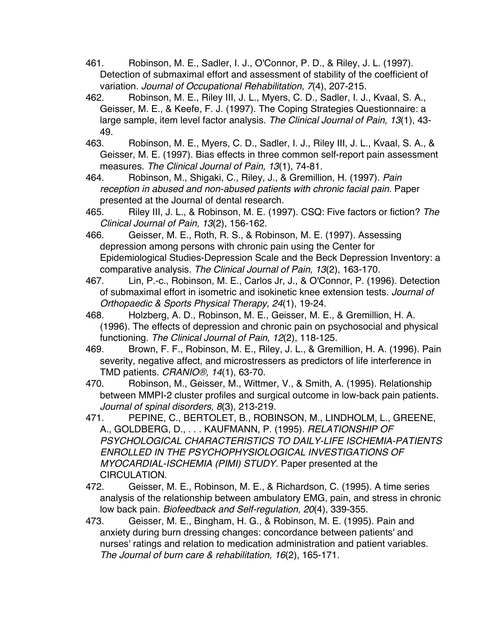- 461. Robinson, M. E., Sadler, I. J., O'Connor, P. D., & Riley, J. L. (1997). Detection of submaximal effort and assessment of stability of the coefficient of variation. *Journal of Occupational Rehabilitation, 7*(4), 207-215.
- 462. Robinson, M. E., Riley III, J. L., Myers, C. D., Sadler, I. J., Kvaal, S. A., Geisser, M. E., & Keefe, F. J. (1997). The Coping Strategies Questionnaire: a large sample, item level factor analysis. *The Clinical Journal of Pain, 13*(1), 43- 49.
- 463. Robinson, M. E., Myers, C. D., Sadler, I. J., Riley III, J. L., Kvaal, S. A., & Geisser, M. E. (1997). Bias effects in three common self-report pain assessment measures. *The Clinical Journal of Pain, 13*(1), 74-81.
- 464. Robinson, M., Shigaki, C., Riley, J., & Gremillion, H. (1997). *Pain reception in abused and non-abused patients with chronic facial pain.* Paper presented at the Journal of dental research.
- 465. Riley III, J. L., & Robinson, M. E. (1997). CSQ: Five factors or fiction? *The Clinical Journal of Pain, 13*(2), 156-162.
- 466. Geisser, M. E., Roth, R. S., & Robinson, M. E. (1997). Assessing depression among persons with chronic pain using the Center for Epidemiological Studies-Depression Scale and the Beck Depression Inventory: a comparative analysis. *The Clinical Journal of Pain, 13*(2), 163-170.
- 467. Lin, P.-c., Robinson, M. E., Carlos Jr, J., & O'Connor, P. (1996). Detection of submaximal effort in isometric and isokinetic knee extension tests. *Journal of Orthopaedic & Sports Physical Therapy, 24*(1), 19-24.
- 468. Holzberg, A. D., Robinson, M. E., Geisser, M. E., & Gremillion, H. A. (1996). The effects of depression and chronic pain on psychosocial and physical functioning. *The Clinical Journal of Pain, 12*(2), 118-125.
- 469. Brown, F. F., Robinson, M. E., Riley, J. L., & Gremillion, H. A. (1996). Pain severity, negative affect, and microstressers as predictors of life interference in TMD patients. *CRANIO®, 14*(1), 63-70.
- 470. Robinson, M., Geisser, M., Wittmer, V., & Smith, A. (1995). Relationship between MMPI-2 cluster profiles and surgical outcome in low-back pain patients. *Journal of spinal disorders, 8*(3), 213-219.
- 471. PEPINE, C., BERTOLET, B., ROBINSON, M., LINDHOLM, L., GREENE, A., GOLDBERG, D., . . . KAUFMANN, P. (1995). *RELATIONSHIP OF PSYCHOLOGICAL CHARACTERISTICS TO DAILY-LIFE ISCHEMIA-PATIENTS ENROLLED IN THE PSYCHOPHYSIOLOGICAL INVESTIGATIONS OF MYOCARDIAL-ISCHEMIA (PIMI) STUDY.* Paper presented at the CIRCULATION.
- 472. Geisser, M. E., Robinson, M. E., & Richardson, C. (1995). A time series analysis of the relationship between ambulatory EMG, pain, and stress in chronic low back pain. *Biofeedback and Self-regulation, 20*(4), 339-355.
- 473. Geisser, M. E., Bingham, H. G., & Robinson, M. E. (1995). Pain and anxiety during burn dressing changes: concordance between patients' and nurses' ratings and relation to medication administration and patient variables. *The Journal of burn care & rehabilitation, 16*(2), 165-171.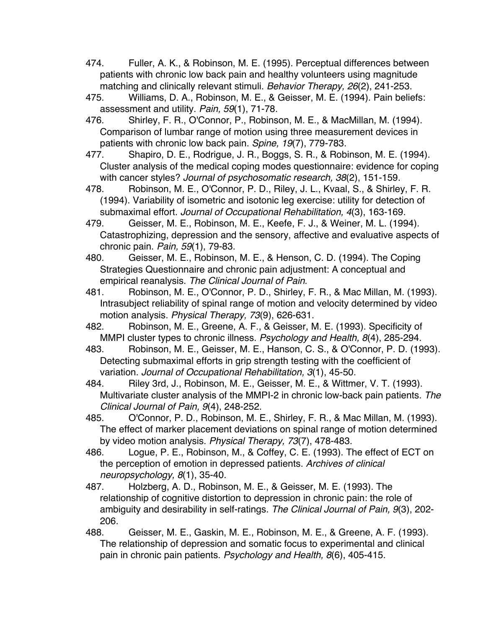- 474. Fuller, A. K., & Robinson, M. E. (1995). Perceptual differences between patients with chronic low back pain and healthy volunteers using magnitude matching and clinically relevant stimuli. *Behavior Therapy, 26*(2), 241-253.
- 475. Williams, D. A., Robinson, M. E., & Geisser, M. E. (1994). Pain beliefs: assessment and utility. *Pain, 59*(1), 71-78.
- 476. Shirley, F. R., O'Connor, P., Robinson, M. E., & MacMillan, M. (1994). Comparison of lumbar range of motion using three measurement devices in patients with chronic low back pain. *Spine, 19*(7), 779-783.
- 477. Shapiro, D. E., Rodrigue, J. R., Boggs, S. R., & Robinson, M. E. (1994). Cluster analysis of the medical coping modes questionnaire: evidence for coping with cancer styles? *Journal of psychosomatic research, 38*(2), 151-159.
- 478. Robinson, M. E., O'Connor, P. D., Riley, J. L., Kvaal, S., & Shirley, F. R. (1994). Variability of isometric and isotonic leg exercise: utility for detection of submaximal effort. *Journal of Occupational Rehabilitation, 4*(3), 163-169.
- 479. Geisser, M. E., Robinson, M. E., Keefe, F. J., & Weiner, M. L. (1994). Catastrophizing, depression and the sensory, affective and evaluative aspects of chronic pain. *Pain, 59*(1), 79-83.
- 480. Geisser, M. E., Robinson, M. E., & Henson, C. D. (1994). The Coping Strategies Questionnaire and chronic pain adjustment: A conceptual and empirical reanalysis. *The Clinical Journal of Pain*.
- 481. Robinson, M. E., O'Connor, P. D., Shirley, F. R., & Mac Millan, M. (1993). Intrasubject reliability of spinal range of motion and velocity determined by video motion analysis. *Physical Therapy, 73*(9), 626-631.
- 482. Robinson, M. E., Greene, A. F., & Geisser, M. E. (1993). Specificity of MMPI cluster types to chronic illness. *Psychology and Health, 8*(4), 285-294.
- 483. Robinson, M. E., Geisser, M. E., Hanson, C. S., & O'Connor, P. D. (1993). Detecting submaximal efforts in grip strength testing with the coefficient of variation. *Journal of Occupational Rehabilitation, 3*(1), 45-50.
- 484. Riley 3rd, J., Robinson, M. E., Geisser, M. E., & Wittmer, V. T. (1993). Multivariate cluster analysis of the MMPI-2 in chronic low-back pain patients. *The Clinical Journal of Pain, 9*(4), 248-252.
- 485. O'Connor, P. D., Robinson, M. E., Shirley, F. R., & Mac Millan, M. (1993). The effect of marker placement deviations on spinal range of motion determined by video motion analysis. *Physical Therapy, 73*(7), 478-483.
- 486. Logue, P. E., Robinson, M., & Coffey, C. E. (1993). The effect of ECT on the perception of emotion in depressed patients. *Archives of clinical neuropsychology, 8*(1), 35-40.
- 487. Holzberg, A. D., Robinson, M. E., & Geisser, M. E. (1993). The relationship of cognitive distortion to depression in chronic pain: the role of ambiguity and desirability in self-ratings. *The Clinical Journal of Pain, 9*(3), 202- 206.
- 488. Geisser, M. E., Gaskin, M. E., Robinson, M. E., & Greene, A. F. (1993). The relationship of depression and somatic focus to experimental and clinical pain in chronic pain patients. *Psychology and Health, 8*(6), 405-415.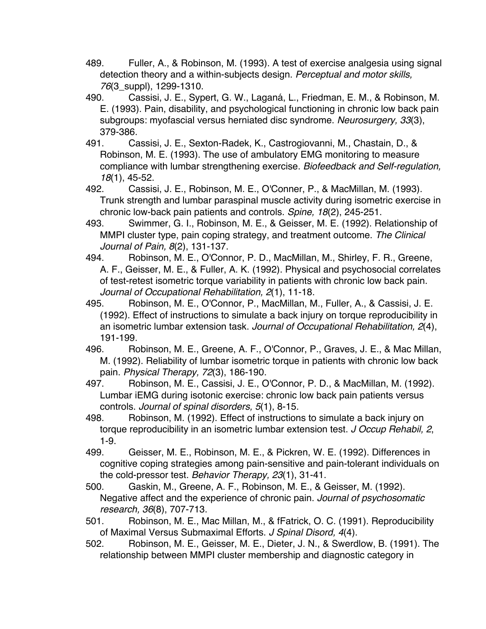- 489. Fuller, A., & Robinson, M. (1993). A test of exercise analgesia using signal detection theory and a within-subjects design. *Perceptual and motor skills, 76*(3\_suppl), 1299-1310.
- 490. Cassisi, J. E., Sypert, G. W., Laganá, L., Friedman, E. M., & Robinson, M. E. (1993). Pain, disability, and psychological functioning in chronic low back pain subgroups: myofascial versus herniated disc syndrome. *Neurosurgery, 33*(3), 379-386.
- 491. Cassisi, J. E., Sexton-Radek, K., Castrogiovanni, M., Chastain, D., & Robinson, M. E. (1993). The use of ambulatory EMG monitoring to measure compliance with lumbar strengthening exercise. *Biofeedback and Self-regulation, 18*(1), 45-52.
- 492. Cassisi, J. E., Robinson, M. E., O'Conner, P., & MacMillan, M. (1993). Trunk strength and lumbar paraspinal muscle activity during isometric exercise in chronic low-back pain patients and controls. *Spine, 18*(2), 245-251.
- 493. Swimmer, G. I., Robinson, M. E., & Geisser, M. E. (1992). Relationship of MMPI cluster type, pain coping strategy, and treatment outcome. *The Clinical Journal of Pain, 8*(2), 131-137.
- 494. Robinson, M. E., O'Connor, P. D., MacMillan, M., Shirley, F. R., Greene, A. F., Geisser, M. E., & Fuller, A. K. (1992). Physical and psychosocial correlates of test-retest isometric torque variability in patients with chronic low back pain. *Journal of Occupational Rehabilitation, 2*(1), 11-18.
- 495. Robinson, M. E., O'Connor, P., MacMillan, M., Fuller, A., & Cassisi, J. E. (1992). Effect of instructions to simulate a back injury on torque reproducibility in an isometric lumbar extension task. *Journal of Occupational Rehabilitation, 2*(4), 191-199.
- 496. Robinson, M. E., Greene, A. F., O'Connor, P., Graves, J. E., & Mac Millan, M. (1992). Reliability of lumbar isometric torque in patients with chronic low back pain. *Physical Therapy, 72*(3), 186-190.
- 497. Robinson, M. E., Cassisi, J. E., O'Connor, P. D., & MacMillan, M. (1992). Lumbar iEMG during isotonic exercise: chronic low back pain patients versus controls. *Journal of spinal disorders, 5*(1), 8-15.
- 498. Robinson, M. (1992). Effect of instructions to simulate a back injury on torque reproducibility in an isometric lumbar extension test. *J Occup Rehabil, 2*, 1-9.
- 499. Geisser, M. E., Robinson, M. E., & Pickren, W. E. (1992). Differences in cognitive coping strategies among pain-sensitive and pain-tolerant individuals on the cold-pressor test. *Behavior Therapy, 23*(1), 31-41.
- 500. Gaskin, M., Greene, A. F., Robinson, M. E., & Geisser, M. (1992). Negative affect and the experience of chronic pain. *Journal of psychosomatic research, 36*(8), 707-713.
- 501. Robinson, M. E., Mac Millan, M., & fFatrick, O. C. (1991). Reproducibility of Maximal Versus Submaximal Efforts. *J Spinal Disord, 4*(4).
- 502. Robinson, M. E., Geisser, M. E., Dieter, J. N., & Swerdlow, B. (1991). The relationship between MMPI cluster membership and diagnostic category in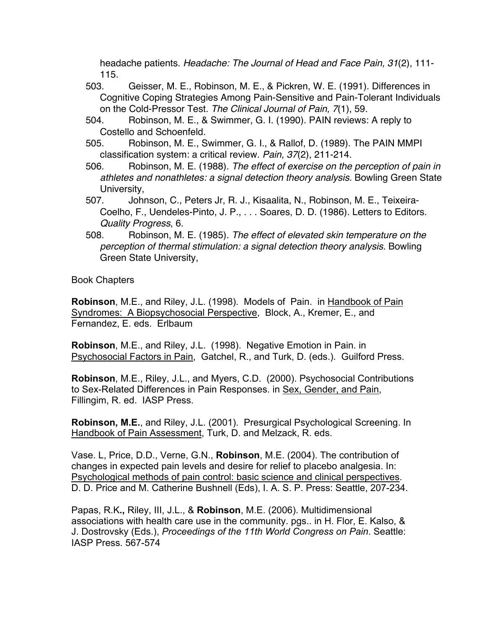headache patients. *Headache: The Journal of Head and Face Pain, 31*(2), 111- 115.

- 503. Geisser, M. E., Robinson, M. E., & Pickren, W. E. (1991). Differences in Cognitive Coping Strategies Among Pain-Sensitive and Pain-Tolerant Individuals on the Cold-Pressor Test. *The Clinical Journal of Pain, 7*(1), 59.
- 504. Robinson, M. E., & Swimmer, G. I. (1990). PAIN reviews: A reply to Costello and Schoenfeld.
- 505. Robinson, M. E., Swimmer, G. I., & Rallof, D. (1989). The PAIN MMPI classification system: a critical review. *Pain, 37*(2), 211-214.
- 506. Robinson, M. E. (1988). *The effect of exercise on the perception of pain in athletes and nonathletes: a signal detection theory analysis.* Bowling Green State University,
- 507. Johnson, C., Peters Jr, R. J., Kisaalita, N., Robinson, M. E., Teixeira-Coelho, F., Uendeles-Pinto, J. P., . . . Soares, D. D. (1986). Letters to Editors. *Quality Progress*, 6.
- 508. Robinson, M. E. (1985). *The effect of elevated skin temperature on the perception of thermal stimulation: a signal detection theory analysis.* Bowling Green State University,

Book Chapters

**Robinson**, M.E., and Riley, J.L. (1998). Models of Pain. in Handbook of Pain Syndromes: A Biopsychosocial Perspective, Block, A., Kremer, E., and Fernandez, E. eds. Erlbaum

**Robinson**, M.E., and Riley, J.L. (1998). Negative Emotion in Pain. in Psychosocial Factors in Pain, Gatchel, R., and Turk, D. (eds.). Guilford Press.

**Robinson**, M.E., Riley, J.L., and Myers, C.D. (2000). Psychosocial Contributions to Sex-Related Differences in Pain Responses. in Sex, Gender, and Pain, Fillingim, R. ed. IASP Press.

**Robinson, M.E.**, and Riley, J.L. (2001). Presurgical Psychological Screening. In Handbook of Pain Assessment, Turk, D. and Melzack, R. eds.

Vase. L, Price, D.D., Verne, G.N., **Robinson**, M.E. (2004). The contribution of changes in expected pain levels and desire for relief to placebo analgesia. In: Psychological methods of pain control: basic science and clinical perspectives. D. D. Price and M. Catherine Bushnell (Eds), I. A. S. P. Press: Seattle, 207-234.

Papas, R.K**.,** Riley, III, J.L., & **Robinson**, M.E. (2006). Multidimensional associations with health care use in the community. pgs.. in H. Flor, E. Kalso, & J. Dostrovsky (Eds.), *Proceedings of the 11th World Congress on Pain*. Seattle: IASP Press. 567-574